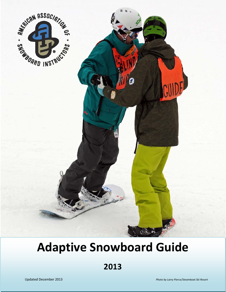

# **Adaptive Snowboard Guide**

**2013**

1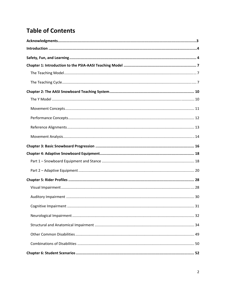# **Table of Contents**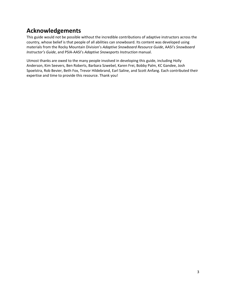# **Acknowledgements**

This guide would not be possible without the incredible contributions of adaptive instructors across the country, whose belief is that people of all abilities can snowboard. Its content was developed using materials from the Rocky Mountain Division's *Adaptive Snowboard Resource Guide*, AASI's *Snowboard Instructor's Guide*, and PSIA‐AASI's *Adaptive Snowsports Instruction* manual.

Utmost thanks are owed to the many people involved in developing this guide, including Holly Anderson, Kim Seevers, Ben Roberts, Barbara Szwebel, Karen Frei, Bobby Palm, KC Gandee, Josh Spoelstra, Rob Bevier, Beth Fox, Trevor Hildebrand, Earl Saline, and Scott Anfang. Each contributed their expertise and time to provide this resource. Thank you!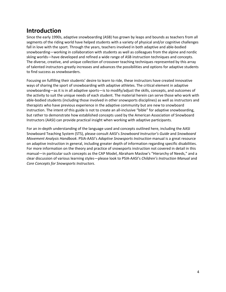# **Introduction**

Since the early 1990s, adaptive snowboarding (ASB) has grown by leaps and bounds as teachers from all segments of the riding world have helped students with a variety of physical and/or cognitive challenges fall in love with the sport. Through the years, teachers involved in both adaptive and able‐bodied snowboarding—working in collaboration with students as well as colleagues from the alpine and nordic skiing worlds—have developed and refined a wide range of ASB instruction techniques and concepts. The diverse, creative, and unique collection of crossover teaching techniques represented by this array of talented instructors greatly increases and advances the possibilities and options for adaptive students to find success as snowboarders.

Focusing on fulfilling their students' desire to learn to ride, these instructors have created innovative ways of sharing the sport of snowboarding with adaptive athletes. The critical element in adaptive snowboarding—as it is in all adaptive sports—is to modify/adjust the skills, concepts, and outcomes of the activity to suit the unique needs of each student. The material herein can serve those who work with able‐bodied students (including those involved in other snowsports disciplines) as well as instructors and therapists who have previous experience in the adaptive community but are new to snowboard instruction. The intent of this guide is not to create an all-inclusive "bible" for adaptive snowboarding, but rather to demonstrate how established concepts used by the American Association of Snowboard Instructors (AASI) can provide practical insight when working with adaptive participants.

For an in‐depth understanding of the language used and concepts outlined here, including the AASI Snowboard Teaching System (STS), please consult AASI's *Snowboard Instructor's Guide* and *Snowboard Movement Analysis Handbook*. PSIA‐AASI's *Adaptive Snowsports Instruction* manual is a great resource on adaptive instruction in general, including greater depth of information regarding specific disabilities. For more information on the theory and practice of snowsports instruction not covered in detail in this manual—in particular such concepts as the CAP Model, Abraham Maslow's "Hierarchy of Needs," and a clear discussion of various learning styles—please look to PSIA‐AASI's *Children's Instruction Manual* and *Core Concepts for Snowsports Instructors*.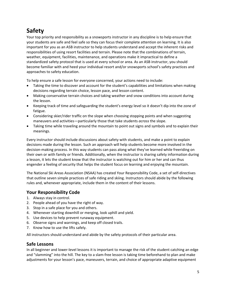# **Safety**

Your top priority and responsibility as a snowsports instructor in any discipline is to help ensure that your students are safe and feel safe so they can focus their complete attention on learning. It is also important for you as an ASB instructor to help students understand and accept the inherent risks and responsibilities of using resort facilities and terrain. Please note that the combinations of terrain, weather, equipment, facilities, maintenance, and operations make it impractical to define a standardized safety protocol that is used at every school or area. As an ASB instructor, you should become familiar with and heed your individual resort and/or snowsports school's safety practices and approaches to safety education.

To help ensure a safe lesson for everyone concerned, your actions need to include:

- Taking the time to discover and account for the student's capabilities and limitations when making decisions regarding terrain choice, lesson pace, and lesson content.
- Making conservative terrain choices and taking weather and snow conditions into account during the lesson.
- Keeping track of time and safeguarding the student's energy level so it doesn't dip into the zone of fatigue.
- Considering skier/rider traffic on the slope when choosing stopping points and when suggesting maneuvers and activities—particularly those that take students *across* the slope.
- Taking time while traveling around the mountain to point out signs and symbols and to explain their meanings.

Every instructor should include discussions about safety with students, and make a point to explain decisions made during the lesson. Such an approach will help students become more involved in the decision‐making process. In this way students can pass along what they've learned while freeriding on their own or with family or friends. Additionally, when the instructor is sharing safety information during a lesson, it lets the student know that the instructor is watching out for him or her and can thus engender a feeling of security that helps the student focus on learning and enjoying the mountain.

The National Ski Areas Association (NSAA) has created Your Responsibility Code, a set of self‐directives that outline seven simple practices of safe riding and skiing. Instructors should abide by the following rules and, whenever appropriate, include them in the content of their lessons.

# **Your Responsibility Code**

- 1. Always stay in control.
- 2. People ahead of you have the right of way.
- 3. Stop in a safe place for you and others.
- 4. Whenever starting downhill or merging, look uphill and yield.
- 5. Use devices to help prevent runaway equipment.
- 6. Observe signs and warnings, and keep off closed trails.
- 7. Know how to use the lifts safely.

All instructors should understand and abide by the safety protocols of their particular area.

# **Safe Lessons**

In all beginner and lower‐level lessons it is important to manage the risk of the student catching an edge and "slamming" into the hill. The key to a slam-free lesson is taking time beforehand to plan and make adjustments for your lesson's pace, maneuvers, terrain, and choice of appropriate adaptive equipment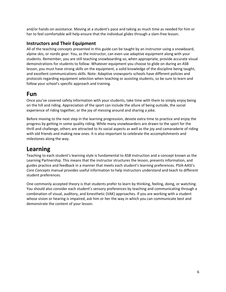and/or hands‐on assistance. Moving at a student's pace and taking as much time as needed for him or her to feel comfortable will help ensure that the individual glides through a slam-free lesson.

# **Instructors and Their Equipment**

All of the teaching concepts presented in this guide can be taught by an instructor using a snowboard, alpine skis, or nordic gear. You, as the instructor, can even use adaptive equipment along with your students. Remember, you are still teaching snowboarding so, when appropriate, provide accurate visual demonstrations for students to follow. Whatever equipment you choose to glide on during an ASB lesson, you must have strong skills on the equipment, a solid knowledge of the discipline being taught, and excellent communications skills. Note: Adaptive snowsports schools have different policies and protocols regarding equipment selection when teaching or assisting students, so be sure to learn and follow your school's specific approach and training.

# **Fun**

Once you've covered safety information with your students, take time with them to simply enjoy being on the hill and riding. Appreciation of the sport can include the allure of being outside, the social experience of riding together, or the joy of messing around and sharing a joke.

Before moving to the next step in the learning progression, devote extra time to practice and enjoy the progress by getting in some quality riding. While many snowboarders are drawn to the sport for the thrill and challenge, others are attracted to its social aspects as well as the joy and camaraderie of riding with old friends and making new ones. It is also important to celebrate the accomplishments and milestones along the way.

# **Learning**

Teaching to each student's learning style is fundamental to ASB instruction and a concept known as the Learning Partnership. This means that the instructor structures the lesson, presents information, and guides practice and feedback in a manner that meets each student's learning preferences. PSIA‐AASI's *Core Concepts* manual provides useful information to help instructors understand and teach to different student preferences.

One commonly accepted theory is that students prefer to learn by thinking, feeling, doing, or watching. You should also consider each student's sensory preferences by teaching and communicating through a combination of visual, auditory, and kinesthetic (VAK) approaches. If you are working with a student whose vision or hearing is impaired, ask him or her the way in which you can communicate best and demonstrate the content of your lesson.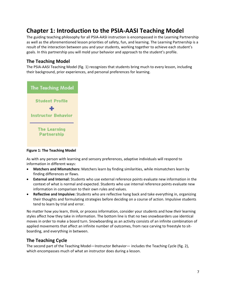# **Chapter 1: Introduction to the PSIA‐AASI Teaching Model**

The guiding teaching philosophy for all PSIA‐AASI instruction is encompassed in the Learning Partnership as well as the aforementioned lesson priorities of safety, fun, and learning. The Learning Partnership is a result of the interaction between you and your students, working together to achieve each student's goals. In this partnership you will mold your behavior and approach to the student's profile.

# **The Teaching Model**

The PSIA‐AASI Teaching Model (fig. 1) recognizes that students bring much to every lesson, including their background, prior experiences, and personal preferences for learning.



**Figure 1: The Teaching Model**

As with any person with learning and sensory preferences, adaptive individuals will respond to information in different ways:

- **Matchers and Mismatchers:** Matchers learn by finding similarities, while mismatchers learn by finding differences or flaws.
- **External and Internal:** Students who use external reference points evaluate new information in the context of what is normal and expected. Students who use internal reference points evaluate new information in comparison to their own rules and values.
- **Reflective and Impulsive:** Students who are reflective hang back and take everything in, organizing their thoughts and formulating strategies before deciding on a course of action. Impulsive students tend to learn by trial and error.

No matter how *you* learn, think, or process information, consider your students and how *their* learning styles affect how they take in information. The bottom line is that no two snowboarders use identical moves in order to make a board turn. Snowboarding as an activity consists of an infinite combination of applied movements that affect an infinite number of outcomes, from race carving to freestyle to sitboarding, and everything in between.

# **The Teaching Cycle**

The second part of the Teaching Model—Instructor Behavior— includes the Teaching Cycle (fig. 2), which encompasses much of what an instructor does during a lesson.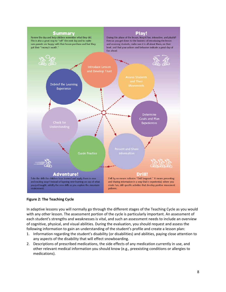

### **Figure 2: The Teaching Cycle**

In adaptive lessons you will normally go through the different stages of the Teaching Cycle as you would with any other lesson. The assessment portion of the cycle is particularly important. An assessment of each student's strengths and weaknesses is vital, and such an assessment needs to include an overview of cognitive, physical, and visual abilities. During the evaluation, you should request and assess the following information to gain an understanding of the student's profile and create a lesson plan:

- 1. Information regarding the student's disability (or disabilities) and abilities, paying close attention to any aspects of the disability that will effect snowboarding.
- 2. Descriptions of prescribed medications, the side effects of any medication currently in use, and other relevant medical information you should know (e.g., preexisting conditions or allergies to medications).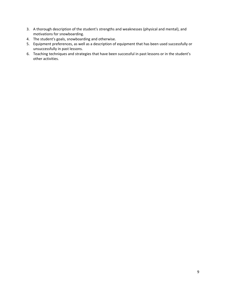- 3. A thorough description of the student's strengths and weaknesses (physical and mental), and motivations for snowboarding.
- 4. The student's goals, snowboarding and otherwise.
- 5. Equipment preferences, as well as a description of equipment that has been used successfully or unsuccessfully in past lessons.
- 6. Teaching techniques and strategies that have been successful in past lessons or in the student's other activities.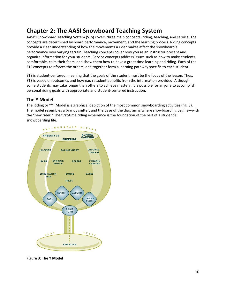# **Chapter 2: The AASI Snowboard Teaching System**

AASI's Snowboard Teaching System (STS) covers three main concepts: riding, teaching, and service. The concepts are determined by board performance, movement, and the learning process. Riding concepts provide a clear understanding of how the movements a rider makes affect the snowboard's performance over varying terrain. Teaching concepts cover how you as an instructor present and organize information for your students. Service concepts address issues such as how to make students comfortable, calm their fears, and show them how to have a great time learning and riding. Each of the STS concepts reinforces the others, and together form a learning pathway specific to each student.

STS is student‐centered, meaning that the goals of the student must be the focus of the lesson. Thus, STS is based on outcomes and how each student benefits from the information provided. Although some students may take longer than others to achieve mastery, it is possible for anyone to accomplish personal riding goals with appropriate and student‐centered instruction.

# **The Y Model**

The Riding or "Y" Model is a graphical depiction of the most common snowboarding activities (fig. 3). The model resembles a brandy snifter, and the base of the diagram is where snowboarding begins—with the "new rider." The first-time riding experience is the foundation of the rest of a student's snowboarding life.



**Figure 3: The Y Model**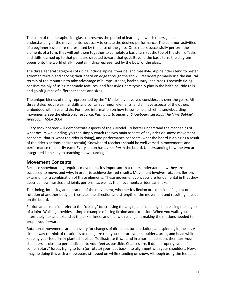The stem of the metaphorical glass represents the period of learning in which riders gain an understanding of the movements necessary to create the desired performance. The common activities of a beginner lesson are represented by the base of the glass. Once riders successfully perform the elements of a turn, they will put them together to complete a basic turn (at the top of the stem). Tasks and skills learned up to that point are directed toward that goal. Beyond the basic turn, the diagram opens onto the world of all‐mountain riding represented by the bowl of the glass.

The three general categories of riding include alpine, freeride, and freestyle. Alpine riders tend to prefer groomed terrain and carving their board on edge through the snow. Freeriders primarily use the natural terrain of the mountain to take advantage of bumps, steeps, backcountry, and trees. Freestyle riding consists mainly of using manmade features, and freestyle riders typically play in the halfpipe, ride rails, and go off jumps of different shapes and sizes.

The unique blends of riding represented by the Y Model have evolved considerably over the years. All three styles require similar skills and contain common elements, and all have aspects of the others embedded within each style. For more information on how to combine and refine snowboarding movements, see the electronic resource: *Pathways to Superior Snowboard Lessons: The 'Tiny Bubble' Approach* (ASEA 2004)*.*

Every snowboarder will demonstrate aspects of the Y Model. To better understand the mechanics of what occurs while riding, you can simply watch the two main aspects of any rider on snow: movement concepts (that is, what the rider is doing), and performance concepts (what the board is doing as a result of the rider's actions and/or terrain). Snowboard teachers should be well versed in movements and performance to identify each. Every action has a *reaction* in the board. Understanding how the two are integrated is the key to teaching snowboarding.

# **Movement Concepts**

Because snowboarding requires movement, it's important that riders understand how they are supposed to move, and why, in order to achieve desired results. Movement involves rotation, flexion, extension, or a combination of these elements. These movement concepts are fundamental in that they describe how muscles and joints perform, as well as the movements a rider can make.

The timing, intensity, and duration of the movement, whether it's flexion or extension of a joint or rotation of another body part, creates the direction and strength of the movement and resulting impact on the board.

Flexion and extension refer to the "closing" (decreasing the angle) and "opening" (increasing the angle) of a joint. Walking provides a simple example of using flexion and extension. When you walk, you alternately flex and extend at the ankle, knee, and hip, with each joint making the motions needed to propel you forward.

Rotational movements are necessary for changes of direction, turn initiation, and spinning in the air. A simple way to think of rotation is to recognize that you can turn your shoulders, arms, and head while keeping your feet firmly planted in place. To illustrate this, stand in a normal position, then turn your shoulders as close to perpendicular to your feet as possible. Chances are, if done properly, you'll feel some "rotary" forces trying to turn (or rotate) your feet back into alignment with your shoulders. Now, imagine doing this with a snowboard strapped on while standing on snow. Although using the feet and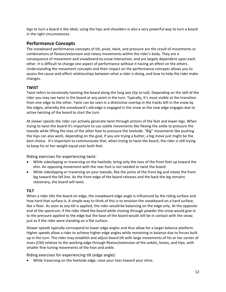legs to turn a board is the ideal, using the hips and shoulders is also a very powerful way to turn a board in the right circumstances.

# **Performance Concepts**

The snowboard performance concepts of tilt, pivot, twist, and pressure are the *result* of movements or combinations of flexion/extension and rotary movements within the rider's body. They are a consequence of movement and snowboard‐to‐snow interaction, and are largely dependent upon each other. It is difficult to change one aspect of performance without it having an effect on the others. Understanding the movement concepts and their impact on the performance concepts allows you to assess the cause‐and‐effect relationships between what a rider is doing, and how to help the rider make changes.

# **TWIST**

Twist refers to torsionally twisting the board along the long axis (tip to tail). Depending on the skill of the rider you may see twist in the board at any point in the turn. Typically, it's most visible at the transition from one edge to the other. Twist can be seen in a distinctive overlap in the tracks left in the snow by the edges, whereby the snowboard's old edge is engaged in the snow as the new edge engages due to active twisting of the board to start the turn.

At slower speeds the rider can actively generate twist through actions of the feet and lower legs. When trying to twist the board it's important to use subtle movements like flexing the ankle to pressure the toeside while lifting the toes of the other foot to pressure the heelside. "Big" movements like pushing the hips can also work, depending on the goal. If you are trying a butter, a big move just might be the best choice. It's important to communicate that, when trying to twist the board, the rider is still trying to keep his or her weight equal over both feet.

Riding exercises for experiencing twist:

- While sideslipping or traversing on the heelside, bring only the toes of the front foot up toward the shin. An opposing movement with the rear foot is not needed to twist the board.
- While sideslipping or traversing on your toeside, flex the joints of the front leg and rotate the front leg toward the fall line. As the front edge of the board releases and the back the leg remains stationary, the board will twist.

# **TILT**

When a rider tilts the board on edge, the snowboard edge angle is influenced by the riding surface and how hard that surface is. A simple way to think of this is to envision the snowboard on a hard surface, like a floor. As soon as *any* tilt is applied, the rider would be balancing on the edge only. At the opposite end of the spectrum, if the rider tilted the board while moving through powder the snow would give in to the pressure applied to the edge but the base of the board would still be in contact with the snow; just as if the rider were standing on a flat surface.

Slower speeds typically correspond to lower edge angles and thus allow for a larger balance platform. Higher speeds allow a rider to achieve higher edge angles while remaining in balance due to forces built up in the turn. The rider may establish and adjust board tilt with large movements of his or her center of mass (CM) relative to the working edge through flexion/extension of the ankles, knees, and hips, with smaller fine-tuning movements of the foot and ankle.

Riding exercises for experiencing tilt (edge angle):

• While traversing on the heelside edge, raise your toes toward your shins.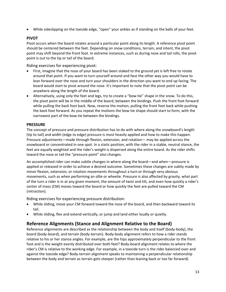• While sideslipping on the toeside edge, "open" your ankles as if standing on the balls of your feet.

# **PIVOT**

Pivot occurs when the board rotates around a particular point along its length. A reference pivot point should be centered between the feet. Depending on snow conditions, terrain, and intent, the pivot point may shift beyond the front foot. In extreme instances, such as during nose and tail rolls, the pivot point is out to the tip or tail of the board.

Riding exercises for experiencing pivot:

- First, imagine that the nose of your board has been staked to the ground yet is left free to rotate around that point. If you want to turn yourself around and face the other way you would have to lean forward over the nose and turn your shoulders in the direction you want to end up facing. The board would start to pivot around the nose. It's important to note that the pivot point can be anywhere along the length of the board.
- Alternatively, using only the feet and legs, try to create a "bow-tie" shape in the snow. To do this, the pivot point will be in the middle of the board, between the bindings. Push the front foot forward while pulling the back foot back. Now, reverse the motion, pulling the front foot back while pushing the back foot forward. As you repeat the motions the bow‐tie shape should start to form, with the narrowest part of the bow-tie between the bindings.

# **PRESSURE**

The concept of pressure and pressure distribution has to do with where along the snowboard's length (tip to tail) and width (edge to edge) pressure is most heavily applied and how to make this happen. Pressure adjustments—made through flexion, extension, and rotation— may be applied across the snowboard or concentrated in one spot. In a static position, with the rider in a stable, neutral stance, the feet are equally weighted and the rider's weight is dispersed along the entire board. As the rider shifts toward the nose or tail the "pressure point" also changes.

An accomplished rider can make subtle changes in where along the board—and when—pressure is applied or released in order to achieve a desired outcome. Sometimes these changes are subtly made by minor flexion, extension, or rotation movements throughout a turn or through very obvious movements, such as when performing an ollie or wheelie. Pressure is also affected by gravity, what part of the turn a rider is in at any given moment, the amount of twist and tilt, and even how quickly a rider's center of mass (CM) moves toward the board or how quickly the feet are pulled toward the CM (retraction).

Riding exercises for experiencing pressure distribution:

- While sliding, move your CM forward toward the nose of the board, and then backward toward its tail.
- While sliding, flex and extend vertically, or jump and land either loudly or quietly.

# **Reference Alignments (Stance and Alignment Relative to the Board)**

Reference alignments are described as the relationship between the body and itself (body‐body), the board (body‐board), and terrain (body‐terrain). Body‐body alignment refers to how a rider stands relative to his or her stance angles. For example, are the hips approximately perpendicular to the front foot and is the weight evenly distributed over both feet? Body‐board alignment relates to where the rider's CM is relative to the working edge. For example, in a toeside turn is the rider balanced over and against the toeside edge? Body‐terrain alignment speaks to maintaining a perpendicular relationship between the body and terrain as terrain gets steeper (rather than leaning back or too far forward).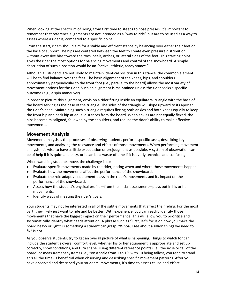When looking at the spectrum of riding, from first time to steeps to nose presses, it's important to remember that reference alignments are not intended as a "way to ride" but are to be used as a way to assess where a rider is, compared to a specific point.

From the start, riders should aim for a stable and efficient stance by balancing over either their feet or the base of support. The hips are centered between the feet to create even pressure distribution, without excessive bias toward the toes, heels, arches, or lateral sides of the feet. This starting point gives the rider the most options for balancing movements and control of the snowboard. A simple description of such a position would be an "active, athletic, ready stance."

Although all students are not likely to maintain identical position in this stance, the common element will be to find balance over the feet. The basic alignment of the knees, hips, and shoulders approximately perpendicular to the front foot (i.e., parallel to the board) allows the most variety of movement options for the rider. Such an alignment is maintained unless the rider seeks a specific outcome (e.g., a spin maneuver).

In order to picture this alignment, envision a rider fitting inside an equilateral triangle with the base of the board serving as the base of the triangle. The sides of the triangle will slope upward to its apex at the rider's head. Maintaining such a triangle requires flexing both ankles and both knees equally to keep the front hip and back hip at equal distances from the board. When ankles are not equally flexed, the hips become misaligned, followed by the shoulders, and reduce the rider's ability to make effective movements.

# **Movement Analysis**

Movement analysis is the processes of observing students perform specific tasks, describing key movements, and analyzing the relevance and effects of those movements. When performing movement analysis, it's wise to have as little expectation or prejudgment as possible. A system of observation can be of help if it is quick and easy, or it can be a waste of time if it is overly technical and confusing.

When watching students move, the challenge is to:

- Evaluate specific movements made by the rider, noting when and where those movements happen.
- Evaluate how the movements affect the performance of the snowboard.
- Evaluate the role adaptive equipment plays in the rider's movements and its impact on the performance of the snowboard.
- Assess how the student's physical profile—from the initial assessment—plays out in his or her movements.
- Identify ways of meeting the rider's goals.

Your students may not be interested in all of the subtle movements that affect their riding. For the most part, they likely just want to ride and be better. With experience, you can readily identify those movements that have the biggest impact on their performance. This will allow you to prioritize and systematically identify what needs attention. A phrase such as "First, let's focus on how you make the board heavy or light" is something a student can grasp. "Whoa, I see about a zillion things we need to fix" is not.

As you observe students, try to get an overall picture of what is happening. Things to watch for can include the student's overall comfort level, whether his or her equipment is appropriate and set up correctly, snow conditions, and turn shape. Using different reference points (i.e., the nose or tail of the board) or measurement systems (i.e., "on a scale from 1 to 10, with 10 being tallest, you tend to stand at 8 all the time) is beneficial when observing and describing specific movement patterns. After you have observed and described your students' movements, it's time to assess cause-and-effect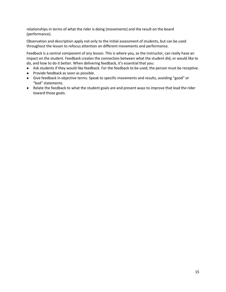relationships in terms of what the rider is doing (movements) and the result on the board (performance).

Observation and description apply not only to the initial assessment of students, but can be used throughout the lesson to refocus attention on different movements and performance.

Feedback is a central component of any lesson. This is where you, as the instructor, can really have an impact on the student. Feedback creates the connection between what the student did, or would like to do, and how to do it better. When delivering feedback, it's essential that you:

- Ask students if they would like feedback. For the feedback to be used, the person must be receptive.
- Provide feedback as soon as possible.
- Give feedback in objective terms. Speak to specific movements and results, avoiding "good" or "bad" statements.
- Relate the feedback to what the student goals are and present ways to improve that lead the rider toward those goals.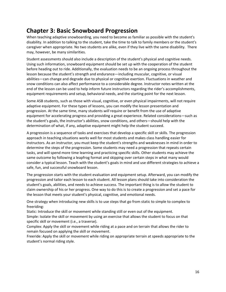# **Chapter 3: Basic Snowboard Progression**

When teaching adaptive snowboarding, you need to become as familiar as possible with the student's disability. In addition to talking to the student, take the time to talk to family members or the student's caregiver when appropriate. No two students are alike, even if they live with the same disability. There may, however, be many similarities.

Student assessments should also include a description of the student's physical and cognitive needs. Using such information, snowboard equipment should be set up with the cooperation of the student before heading out to ride. Additionally, the evaluation needs to be an ongoing process throughout the lesson because the student's strength and endurance—including muscular, cognitive, or visual abilities—can change and degrade due to physical or cognitive exertion. Fluctuations in weather and snow conditions can also affect performance to a considerable degree. Instructor notes written at the end of the lesson can be used to help inform future instructors regarding the rider's accomplishments, equipment requirements and setup, behavioral needs, and the starting point for the next lesson.

Some ASB students, such as those with visual, cognitive, or even physical impairments, will not require adaptive equipment. For these types of lessons, you can modify the lesson presentation and progression. At the same time, many students *will* require or benefit from the use of adaptive equipment for accelerating progress and providing a great experience. Related considerations—such as the student's goals, the instructor's abilities, snow conditions, and others—should help with the determination of what, if any, adaptive equipment might help the student succeed.

A progression is a sequence of tasks and exercises that develop a specific skill or skills. The progression approach in teaching situations works well for most students and makes class handling easier for instructors. As an instructor, you must keep the student's strengths and weaknesses in mind in order to determine the steps of the progression. Some students may need a progression that repeats certain tasks, and will spend more time learning and practicing specific skills. Other students may achieve the same outcome by following a leapfrog format and skipping over certain steps in what many would consider a typical lesson. Teach with the student's goals in mind and use different strategies to achieve a safe, fun, and successful snowboard lesson.

The progression starts with the student evaluation and equipment setup. Afterward, you can modify the progression and tailor each lesson to each student. All lesson plans should take into consideration the student's goals, abilities, and needs to achieve success. The important thing is to allow the student to claim ownership of his or her progress. One way to do this is to create a progression and set a pace for the lesson that meets your student's physical, cognitive, and emotional needs.

One strategy when introducing new skills is to use steps that go from static to simple to complex to freeriding:

Static: Introduce the skill or movement while standing still or even out of the equipment.

Simple: Isolate the skill or movement by using an exercise that allows the student to focus on that specific skill or movement (i.e., a traverse).

Complex: Apply the skill or movement while riding at a pace and on terrain that allows the rider to remain focused on applying the skill or movement.

Freeride: Apply the skill or movement while riding on appropriate terrain at speeds appropriate to the student's normal riding style.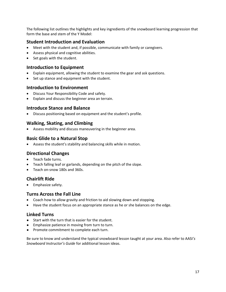The following list outlines the highlights and key ingredients of the snowboard learning progression that form the base and stem of the Y Model:

# **Student Introduction and Evaluation**

- Meet with the student and, if possible, communicate with family or caregivers.
- Assess physical and cognitive abilities.
- Set goals with the student.

# **Introduction to Equipment**

- Explain equipment, allowing the student to examine the gear and ask questions.
- Set up stance and equipment with the student.

# **Introduction to Environment**

- Discuss Your Responsibility Code and safety.
- Explain and discuss the beginner area an terrain.

# **Introduce Stance and Balance**

• Discuss positioning based on equipment and the student's profile.

# **Walking, Skating, and Climbing**

• Assess mobility and discuss maneuvering in the beginner area.

# **Basic Glide to a Natural Stop**

• Assess the student's stability and balancing skills while in motion.

# **Directional Changes**

- Teach fade turns.
- Teach falling leaf or garlands, depending on the pitch of the slope.
- Teach on-snow 180s and 360s.

# **Chairlift Ride**

• Emphasize safety.

# **Turns Across the Fall Line**

- Coach how to allow gravity and friction to aid slowing down and stopping.
- Have the student focus on an appropriate stance as he or she balances on the edge.

# **Linked Turns**

- Start with the turn that is easier for the student.
- Emphasize patience in moving from turn to turn.
- Promote commitment to complete each turn.

Be sure to know and understand the typical snowboard lesson taught at your area. Also refer to AASI*'s Snowboard Instructor's Guide* for additional lesson ideas.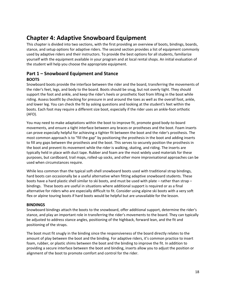# **Chapter 4: Adaptive Snowboard Equipment**

This chapter is divided into two sections, with the first providing an overview of boots, bindings, boards, stance, and setup options for adaptive riders. The second section provides a list of equipment commonly used by adaptive riders and their instructors. To provide the best options for all students, familiarize yourself with the equipment available in your program and at local rental shops. An initial evaluation of the student will help you choose the appropriate equipment.

# **Part 1 – Snowboard Equipment and Stance BOOTS**

Snowboard boots provide the interface between the rider and the board, transferring the movements of the rider's feet, legs, and body to the board. Boots should be snug, but not overly tight. They should support the foot and ankle, and keep the rider's heels or prosthetic foot from lifting in the boot while riding. Assess bootfit by checking for pressure in and around the toes as well as the overall foot, ankle, and lower leg. You can check the fit by asking questions and looking at the student's feet within the boots. Each foot may require a different size boot, especially if the rider uses an ankle‐foot orthotic (AFO).

You may need to make adaptations within the boot to improve fit, promote good body‐to‐board movements, and ensure a tight interface between any braces or prostheses and the boot. Foam inserts can prove especially helpful for achieving a tighter fit between the boot and the rider's prosthesis. The most common approach is to "fill the gap" by positioning the prosthesis in the boot and adding inserts to fill any gaps between the prosthesis and the boot. This serves to securely position the prosthesis in the boot and prevent its movement while the rider is walking, skating, and riding. The inserts are typically held in place with duct tape. Rubber and foam are the most widely used materials for these purposes, but cardboard, trail maps, rolled‐up socks, and other more improvisational approaches can be used when circumstances require.

While less common than the typical soft-shell snowboard boots used with traditional strap bindings, hard boots can occasionally be a useful alternative when fitting adaptive snowboard students. These boots have a hard plastic shell similar to ski boots, and must be used with plate – rather than strap – bindings. These boots are useful in situations where additional support is required or as a final alternative for riders who are especially difficult to fit. Consider using alpine ski boots with a very soft flex or alpine touring boots if hard boots would be helpful but are unavailable for the lesson.

# **BINDINGS**

Snowboard bindings attach the boots to the snowboard, offer additional support, determine the rider's stance, and play an important role in transferring the rider's movements to the board. They can typically be adjusted to address stance angles, positioning of the highback, forward lean, and the fit and positioning of the straps.

The boot must fit snugly in the binding since the responsiveness of the board directly relates to the amount of play between the boot and the binding. For adaptive riders, it's common practice to insert foam, rubber, or plastic shims between the boot and the binding to improve the fit. In addition to providing a secure interface between the boot and binding, inserts allow you to adjust the position or alignment of the boot to promote comfort and control for the rider.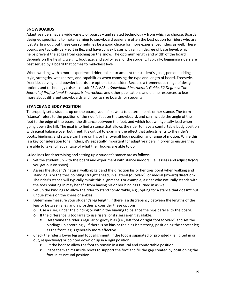# **SNOWBOARDS**

Adaptive riders have a wide variety of boards – and related technology – from which to choose. Boards designed specifically to make learning to snowboard easier are often the best option for riders who are just starting out, but these can sometimes be a good choice for more experienced riders as well. These boards are typically very soft in flex and have convex bases with a high degree of base bevel, which helps prevent the edges from catching on the snow. The optimum length and width of the board depends on the height, weight, boot size, and ability level of the student. Typically, beginning riders are best served by a board that comes to mid‐chest level.

When working with a more experienced rider, take into account the student's goals, personal riding style, strengths, weaknesses, and capabilities when choosing the type and length of board. Freestyle, freeride, carving, and powder boards are options to consider. Because a tremendous range of design options and technology exists, consult PSIA‐AASI's *Snowboard Instructor's Guid*e, *32 Degrees: The Journal of Professional Snowsports Instruction*, and other publications and online resources to learn more about different snowboards and how to size boards for students.

# **STANCE AND BODY POSITION**

To properly set a student up on the board, you'll first want to determine his or her stance. The term "stance" refers to the position of the rider's feet on the snowboard, and can include the angle of the feet to the edge of the board, the distance between the feet, and which foot will typically lead when going down the hill. The goal is to find a stance that allows the rider to have a comfortable body position with equal balance over both feet. It's critical to examine the effect that adjustments to the rider's boots, bindings, and stance can have on his or her overall body position and range of motion. While this is a key consideration for all riders, it's especially important for adaptive riders in order to ensure they are able to take full advantage of what their bodies are able to do.

Guidelines for determining and setting up a student's stance are as follows:

- Set the student up with the board and experiment with stance indoors (i.e., assess and adjust *before* you get out on snow).
- Assess the student's natural walking gait and the direction his or her toes point when walking and standing. Are the toes pointing straight ahead, in a lateral (outward), or medial (inward) direction? The rider's stance will typically mimic this alignment. For example, a rider who naturally stands with the toes pointing in may benefit from having his or her bindings turned in as well.
- Set up the bindings to allow the rider to stand comfortably, e.g., opting for a stance that doesn't put undue stress on the knees or ankles.
- Determine/measure your student's leg length; if there is a discrepancy between the lengths of the legs or between a leg and a prosthesis, consider these options:
	- o Use a riser, under the binding or within the binding to balance the hips parallel to the board.
	- o If the difference is too large to use risers, or if risers aren't available:
		- Determine the rider's regular or goofy bias (i.e., left foot or right foot forward) and set the bindings up accordingly. If there is no bias or the bias isn't strong, positioning the shorter leg as the front leg is generally more effective.
- Check the rider's lower leg and foot alignment. If the foot is supinated or pronated (i.e., tilted in or out, respectively) or pointed down or up in a rigid position:
	- o Fit the boot to allow the foot to remain in a natural and comfortable position.
	- o Place foam shims inside boots to support the foot and fill the gap created by positioning the foot in its natural position.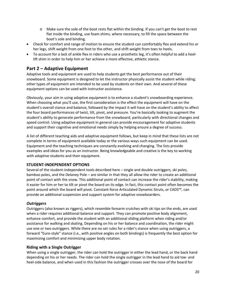- $\circ$  Make sure the sole of the boot rests flat within the binding. If you can't get the boot to rest flat inside the binding, use foam shims, where necessary, to fill the space between the boot's sole and binding.
- Check for comfort and range of motion to ensure the student can comfortably flex and extend his or her legs, shift weight from one foot to the other, and shift weight from toes to heels.
- To account for a lack of ankle flex in riders who use a prosthetic leg, it's often helpful to add a heellift shim in order to help him or her achieve a more effective, athletic stance.

# **Part 2 – Adaptive Equipment**

Adaptive tools and equipment are used to help students get the best performance out of their snowboard. Some equipment is designed to let the instructor physically assist the student while riding; other types of equipment are intended to be used by students on their own. And several of these equipment options can be used with instructor assistance.

Obviously, your aim in using adaptive equipment is to enhance a student's snowboarding experience. When choosing what you'll use, the first consideration is the effect the equipment will have on the student's overall stance and balance, followed by the impact it will have on the student's ability to affect the four board performances of twist, tilt, pivot, and pressure. You're basically looking to augment the student's ability to generate performance from the snowboard, particularly with directional changes and speed control. Using adaptive equipment in general can provide encouragement for adaptive students and support their cognitive and emotional needs simply by helping ensure a degree of success.

A list of different teaching aids and adaptive equipment follows, but keep in mind that these lists are not complete in terms of equipment available today or the various ways such equipment can be used. Equipment and the teaching techniques are constantly evolving and changing. The lists provide examples and ideas for you as an instructor. Being knowledgeable and creative is the key to working with adaptive students and their equipment.

# **STUDENT‐INDEPENDENT OPTIONS**

Several of the student-independent tools described here – single and double outriggers, ski poles, bamboo poles, and the Delaney Pole – are similar in that they all allow the rider to create an additional point of contact with the snow. This additional point of contact can increase the rider's stability, making it easier for him or her to tilt or pivot the board on its edge. In fact, this contact point often becomes the point around which the board will pivot. Constant-force Articulated Dynamic Struts, or CADS™, can provide an additional suspension and support system for adaptive snowboarders.

# *Outriggers*

Outriggers (also known as riggers), which resemble forearm crutches with ski tips on the ends, are used when a rider requires additional balance and support. They can promote positive body alignment, enhance comfort, and provide the student with an additional sliding platform when riding and/or assistance for walking and skating. Depending on his or her balance and coordination, the rider might use one or two outriggers. While there are no set rules for a rider's stance when using outriggers, a forward "Euro‐style" stance (i.e., with positive angles on both bindings) is frequently the best option for maximizing comfort and minimizing upper body rotation.

### **Riding with a Single Outrigger**

When using a single outrigger, the rider can hold the outrigger in either the lead hand, or the back hand depending on his or her needs. The rider can hold the single outrigger in the lead hand to aid toe‐ and heel-side balance, and when used in this fashion the outrigger crosses over the nose of the board for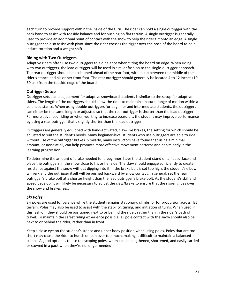each turn to provide support within the inside of the turn. The rider can hold a single outrigger with the back hand to assist with toeside balance and for pushing on flat terrain. A single outrigger is generally used to provide an additional point of contact with the snow to help the rider tilt onto an edge. A single outrigger can also assist with pivot since the rider crosses the rigger over the nose of the board to help induce rotation and a weight shift.

# **Riding with Two Outriggers**

Adaptive riders often use two outriggers to aid balance when tilting the board on edge. When riding with two outriggers, the lead outrigger will be used in similar fashion to the single-outrigger approach. The rear outrigger should be positioned ahead of the rear foot, with its tip between the middle of the rider's stance and his or her front foot. The rear outrigger should generally be located 4 to 12 inches (10‐ 30 cm) from the toeside edge of the board.

# **Outrigger Setup**

Outrigger setup and adjustment for adaptive snowboard students is similar to the setup for adaptive skiers. The length of the outriggers should allow the rider to maintain a natural range of motion within a balanced stance. When using double outriggers for beginner and intermediate students, the outriggers can either be the same length or adjusted so that the rear outrigger is shorter than the lead outrigger. For more advanced riding or when working to increase board tilt, the student may improve performance by using a rear outrigger that's slightly shorter than the lead outrigger.

Outriggers are generally equipped with hand‐activated, claw‐like brakes, the setting for which should be adjusted to suit the student's needs. Many beginner‐level students who use outriggers are able to ride without use of the outrigger brakes. Similarly, many instructors have found that using a minimal amount, or none at all, can help promote more effective movement patterns and habits early in the learning progression.

To determine the amount of brake needed for a beginner, have the student stand on a flat surface and place the outriggers in the snow close to his or her side. The claw should engage sufficiently to create resistance against the snow without digging into it. If the brake bolt is set too high, the student's elbow will jerk and the outrigger itself will be pushed backward by snow contact. In general, set the rear outrigger's brake bolt at a shorter height than the lead outrigger's brake bolt. As the student's skill and speed develop, it will likely be necessary to adjust the claw/brake to ensure that the rigger glides over the snow and brakes less.

# *Ski Poles*

Ski poles are used for balance while the student remains stationary, climbs, or for propulsion across flat terrain. Poles may also be used to assist with the stability, timing, and initiation of turns. When used in this fashion, they should be positioned next to or behind the rider, rather than in the rider's path of travel. To maintain the safest riding experience possible, all pole contact with the snow should also be next to or behind the rider, rather than in front.

Keep a close eye on the student's stance and upper body position when using poles. Poles that are too short may cause the rider to hunch or lean over too much, making it difficult to maintain a balanced stance. A good option is to use telescoping poles, when can be lengthened, shortened, and easily carried or stowed in a pack when they're no longer needed.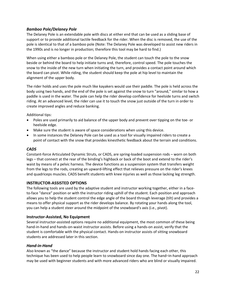# *Bamboo Pole/Delaney Pole*

The Delaney Pole is an extendable pole with discs at either end that can be used as a sliding base of support or to provide additional tactile feedback for the rider. When the disc is removed, the use of the pole is identical to that of a bamboo pole (Note: The Delaney Pole was developed to assist new riders in the 1990s and is no longer in production; therefore this tool may be hard to find.)

When using either a bamboo pole or the Delaney Pole, the student can touch the pole to the snow beside or behind the board to help initiate turns and, therefore, control speed. The pole touches the snow to the inside of the new turn when initiating the turn, and provides a contact point around which the board can pivot. While riding, the student should keep the pole at hip level to maintain the alignment of the upper body.

The rider holds and uses the pole much like kayakers would use their paddle. The pole is held across the body using two hands, and the end of the pole is set against the snow to turn "around," similar to how a paddle is used in the water. The pole can help the rider develop confidence for heelside turns and switch riding. At an advanced level, the rider can use it to touch the snow just outside of the turn in order to create improved angles and reduce banking.

Additional tips:

- Poles are used primarily to aid balance of the upper body and prevent over tipping on the toe‐ or heelside edge.
- Make sure the student is aware of space considerations when using this device.
- In some instances the Delaney Pole can be used as a tool for visually impaired riders to create a point of contact with the snow that provides kinesthetic feedback about the terrain and conditions.

# *CADS*

Constant‐force Articulated Dynamic Struts, or CADS, are spring‐loaded suspension rods – worn on both legs – that connect at the rear of the binding's highback or back of the boot and extend to the rider's waist by means of a pelvic harness. The device functions as a suspension system that transfers weight from the legs to the rods, creating an upward‐lifting effect that relieves pressure on the rider's knees and quadriceps muscles. CADS benefit students with knee injuries as well as those lacking leg strength.

# **INSTRUCTOR‐ASSISTED OPTIONS**

The following tools are used by the adaptive student and instructor working together, either in a faceto-face "dance" position or with the instructor riding uphill of the student. Each position and approach allows you to help the student control the edge angle of the board through leverage (tilt) and provides a means to offer physical support as the rider develops balance. By rotating your hands along the tool, you can help a student steer around the midpoint of the snowboard's axis (i.e., pivot).

# **Instructor‐Assisted, No Equipment**

Several instructor‐assisted options require no additional equipment, the most common of these being hand-in-hand and hands-on-waist instructor assists. Before using a hands-on assist, verify that the student is comfortable with the physical contact. Hands‐on instructor assists of sitting snowboard students are addressed later in this section.

### *Hand‐in‐Hand*

Also known as "the dance" because the instructor and student hold hands facing each other, this technique has been used to help people learn to snowboard since day one. The hand–in‐hand approach may be used with beginner students and with more advanced riders who are blind or visually impaired.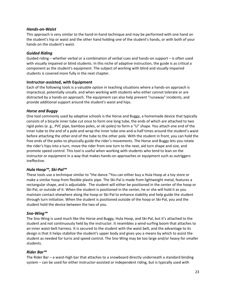# *Hands‐on‐Waist*

This approach is very similar to the hand‐in‐hand technique and may be performed with one hand on the student's hip or waist and the other hand holding one of the student's hands, or with both of your hands on the student's waist.

# *Guided Riding*

Guided riding – whether verbal or a combination of verbal cues and hands‐on support – is often used with visually impaired or blind students. In this niche of adaptive instruction, the guide is as critical a component as the student's equipment. The subject of working with blind and visually impaired students is covered more fully in the next chapter.

# **Instructor‐assisted, with Equipment**

Each of the following tools is a valuable option in teaching situations where a hands‐on approach is impractical, potentially unsafe, and when working with students who either cannot tolerate or are distracted by a hands‐on approach. The equipment can also help prevent "runaway" incidents, and provide additional support around the student's waist and hips.

# *Horse and Buggy*

One tool commonly used by adaptive schools is the Horse and Buggy, a homemade device that typically consists of a bicycle inner tube cut once to form one long tube, the ends of which are attached to two rigid poles (e. g., PVC pipe, bamboo poles, or ski poles) to form a "U" shape. You attach one end of the inner tube to the end of a pole and wrap the inner tube one‐and‐a‐half times around the student's waist before attaching the other end of the tube to the other pole. With the student in front, you can hold the free ends of the poles to physically guide the rider's movements. The Horse and Buggy lets you rotate the rider's hips into a turn, move the rider from one turn to the next, aid turn shape and size, and promote speed control. This tool is useful when working with students who tend to lean on the instructor or equipment in a way that makes hands-on approaches or equipment such as outriggers ineffective.

# *Hula Hoop™, Ski‐Pal™*

These tools use a technique similar to "the dance."You can either buy a Hula Hoop at a toy store or make a similar hoop from flexible plastic pipe. The Ski‐Pal is made from lightweight metal, features a rectangular shape, and is adjustable. The student will either be positioned in the center of the hoop or Ski‐Pal, or outside of it. When the student is positioned in the center, he or she will hold it as you maintain contact elsewhere along the hoop or Ski‐Pal to enhance stability and help guide the student through turn initiation. When the student is positioned outside of the hoop or Ski‐Pal, you and the student hold the device between the two of you.

### *Sno‐Wing™*

The Sno‐Wing is used much like the Horse and Buggy, Hula Hoop, and Ski‐Pal, but it's attached to the student and not continuously held by the instructor. It resembles a wind‐surfing boom that attaches to an inner waist-belt harness. It is secured to the student with the waist belt, and the advantage to its design is that it helps stabilize the student's upper body and gives you a means by which to assist the student as needed for turns and speed control. The Sno‐Wing may be too large and/or heavy for smaller students.

### *Rider Bar™*

The Rider Bar – a waist-high bar that attaches to a snowboard directly underneath a standard binding system – can be used for either instructor-assisted or independent riding, but is typically used with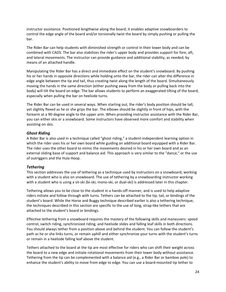instructor assistance. Positioned lengthwise along the board, it enables adaptive snowboarders to control the edge angle of the board and/or torsionally twist the board by simply pushing or pulling the bar.

The Rider Bar can help students with diminished strength or control in their lower body and can be combined with CADS. The bar also stabilizes the rider's upper body and provides support for fore, aft, and lateral movements. The instructor can provide guidance and additional stability, as needed, by means of an attached handle.

Manipulating the Rider Bar has a direct and immediate effect on the student's snowboard. By pushing his or her hands in opposite directions while holding onto the bar, the rider can alter the difference in edge angle between the tip and tail, thus creating twist along the length of the board. Simultaneously moving the hands in the same direction (either pushing away from the body or pulling back into the body) will tilt the board on edge. The bar allows students to perform an exaggerated tilting of the board, especially when pulling the bar on heelside turns.

The Rider Bar can be used in several ways. When starting out, the rider's body position should be tall, yet slightly flexed as he or she grips the bar. The elbows should be slightly in front of hips, with the forearm at a 90‐degree angle to the upper arm. When providing instructor assistance with the Rider Bar, you can either skis or a snowboard. Some instructors have observed more comfort and stability when assisting on skis.

# *Ghost Riding*

A Rider Bar is also used in a technique called "ghost riding," a student‐independent learning option in which the rider uses his or her own board while guiding an additional board equipped with a Rider Bar. The rider uses the other board to mimic the movements desired in his or her own board and as an external sliding base of support and balance aid. This approach is very similar to the "dance," or the use of outriggers and the Hula Hoop.

# *Tethering*

This section addresses the use of tethering as a technique used by instructors on a snowboard, working with a student who is also on snowboard. The use of tethering by a snowboarding instructor working with a student who is using a sit-ski (bi-ski, mono-ski, or dual-ski) is addressed later in this chapter.

Tethering allows you to be close to the student in a hands‐off manner, and is used to help adaptive riders initiate and follow through with turns. Tethers can be attached to the tip, tail, or bindings of the student's board. While the Horse and Buggy technique described earlier is also a tethering technique, the techniques described in this section are specific to the use of long, strap-like tethers that are attached to the student's board or bindings.

Effective tethering from a snowboard requires the mastery of the following skills and maneuvers: speed control, switch riding, synchronized riding, and heelside slides and falling leaf skills in both directions. You should always tether from a position above and behind the student. You can follow the student's path as he or she links turns, or remain uphill and either synchronize your turns with the student's turns or remain in a heelside falling leaf above the student.

Tethers attached to the board at the tip are most effective for riders who can shift their weight across the board to a new edge and initiate rotational movements from their lower body without assistance. Tethering from the tip can be complemented with a balance aid (e.g., a Rider Bar or bamboo pole) to enhance the student's ability to move from edge to edge. You can use a board-mounted tip tether to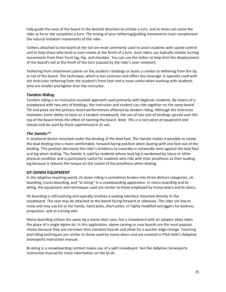help guide the nose of the board in the desired direction to initiate a turn, and at times can assist the rider as he or she completes a turn. The timing of your tethering/guiding movements must complement the natural initiation movements of the rider.

Tethers attached to the board at the tail are most commonly used to assist students with speed control and to help those who tend to over-rotate at the finish of a turn. Such riders can typically initiate turning movements from their front leg, hip, and shoulder. You can use the tether to help limit the displacement of the board's tail at the finish of the turn (caused by the rider's over‐rotation).

Tethering from attachment points on the student's bindings or boots is similar to tethering from the tip or tail of the board. This technique, which is less common and offers less leverage. is typically used with the instructor tethering from the student's front foot and is most useful when working with students who are smaller and lighter than the instructor.

# *Tandem Riding*

Tandem riding is an instructor‐assisted approach used primarily with beginner students. By means of a snowboard with two sets of bindings, the instructor and student can ride together on the same board. Tilt and pivot are the primary board performances affected by tandem riding. Although the instructor maintains some ability to twist on a tandem snowboard, the use of two sets of bindings spread over the top of the board limits the effect of twisting the board. *Note: This is a rare piece of equipment and should only be used by those experienced in its use.*

# *The Swivler™*

A rotational device mounted under the binding of the lead foot, The Swivler makes it possible to rotate the lead binding into a more comfortable, forward‐facing position when skating with one foot out of the binding. This position decreases the rider's tendency to inwardly or outwardly twist against the lead foot and leg when skating. The Swivler is used by students whose lead leg is weakened by injury or other physical condition and is particularly useful for students who ride with their prosthesis as their leading leg because it reduces the torque on the socket of the prosthesis when skating.

# **SIT‐DOWN EQUIPMENT**

In the adaptive teaching world, sit‐down riding is sometimes broken into three distinct categories: sit‐ boarding, mono‐boarding, and "bi‐skiing" in a snowboarding application. In mono‐boarding and bi‐ skiing, the equipment and techniques used are similar to those employed by mono‐skiers and bi‐skiers.

Sit‐boarding is still evolving and typically involves a seating interface mounted directly to the snowboard. The seat may be attached to the board facing forward or sideways. The rider sits low to snow and may use his or her hands, hand picks, short poles, or highly modified outriggers for balance, propulsion, and as turning aids.

Mono‐boarding utilizes the same rig a mono‐skier uses, but a snowboard with an adaptor plate takes the place of a single alpine ski. In this application, alpine carving or race boards are the most popular choice because they are narrower than standard boards and allow for a quicker edge change. Teaching and riding techniques are similar to those used by mono‐skiers and are covered in PSIA‐AASI's *Adaptive Snowsports Instruction* manual.

Bi‐skiing in a snowboarding context makes use of a split snowboard. See the *Adaptive Snowsports Instruction* manual for more information on the bi‐ski.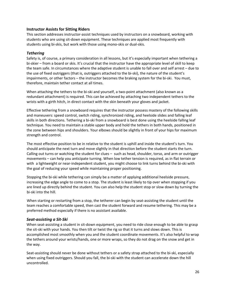# **Instructor Assists for Sitting Riders**

This section addresses instructor-assist techniques used by instructors on a snowboard, working with students who are using sit‐down equipment. These techniques are applied most frequently with students using bi‐skis, but work with those using mono‐skis or dual‐skis.

# *Tethering*

Safety is, of course, a primary consideration in all lessons, but it's especially important when tethering a bi-skier – from a board or skis. It's crucial that the instructor have the appropriate level of skill to keep the team safe. In circumstances where the adaptive student is unable to fall over and self arrest – due to the use of fixed outriggers (that is, outriggers attached to the bi‐ski), the nature of the student's impairments, or other factors – the instructor becomes the braking system for the bi‐ski. You must, therefore, maintain tether contact at all times.

When attaching the tethers to the bi-ski and yourself, a two-point attachment (also known as a redundant attachment) is required. This can be achieved by attaching two independent tethers to the wrists with a girth hitch, in direct contact with the skin beneath your gloves and jacket.

Effective tethering from a snowboard requires that the instructor possess mastery of the following skills and maneuvers: speed control, switch riding, synchronized riding, and heelside slides and falling leaf skills in both directions. Tethering a bi‐ski from a snowboard is best done using the heelside falling leaf technique. You need to maintain a stable upper body and hold the tethers in both hands, positioned in the zone between hips and shoulders. Your elbows should be slightly in front of your hips for maximum strength and control.

The most effective position to be in relative to the student is uphill and inside the student's turn. You should anticipate the next turn and move slightly in that direction before the student starts the turn. Calling out turns or watching the student for clues – such as head, shoulder, torso, and arm or outrigger movements – can help you anticipate turning. When low tether tension is required, as in flat terrain or with a lightweight or near-independent student, you might choose to link turns behind the bi-ski with the goal of reducing your speed while maintaining proper positioning.

Stopping the bi‐ski while tethering can simply be a matter of applying additional heelside pressure, increasing the edge angle to come to a stop. The student is least likely to tip over when stopping if you are lined up directly behind the student. You can also help the student stop or slow down by turning the bi‐ski into the hill.

When starting or restarting from a stop, the tetherer can begin by seat-assisting the student until the team reaches a comfortable speed, then cast the student forward and resume tethering. This may be a preferred method especially if there is no assistant available.

### *Seat‐assisting a Sit‐Ski*

When seat-assisting a student in sit-down equipment, you need to ride close enough to be able to grasp the sit‐ski with your hands. You then tilt or twist the rig so that it turns and slows down. This is accomplished most smoothly when you and the student coordinate movements. It's also helpful to wrap the tethers around your wrists/hands, one or more wraps, so they do not drag on the snow and get in the way.

Seat-assisting should never be done without tethers or a safety strap attached to the bi-ski, especially when using fixed outriggers. Should you fall, the bi-ski with the student can accelerate down the hill uncontrolled.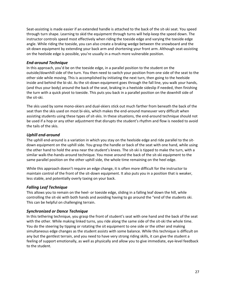Seat-assisting is made easier if an extended handle is attached to the back of the sit-ski seat. You speed through turn shape. Learning to skid the equipment through turns will help keep the speed down. The instructor controls speed most effectively when riding the toeside edge and varying the toeside edge angle. While riding the toeside, you can also create a braking wedge between the snowboard and the sit-down equipment by extending your back arm and shortening your front arm. Although seat-assisting on the heelside edge is possible, you're usually in a much more vulnerable position.

# *End‐around Technique*

In this approach, you'd be on the toeside edge, in a parallel position to the student on the outside/downhill side of the turn. You then need to switch your position from one side of the seat to the other side while moving. This is accomplished by initiating the next turn, then going to the heelside inside and behind the bi‐ski. As the sit‐down equipment goes through the fall line, you walk your hands, (and thus your body) around the back of the seat, braking in a heelside sideslip if needed, then finishing the turn with a quick pivot to toeside. This puts you back in a parallel position on the downhill side of the sit‐ski.

The skis used by some mono‐skiers and dual‐skiers stick out much farther from beneath the back of the seat than the skis used on most bi-skis, which makes the end-around maneuver very difficult when assisting students using these types of sit‐skis. In these situations, the end‐around technique should not be used if a hop or any other adjustment that disrupts the student's rhythm and flow is needed to avoid the tails of the skis.

# *Uphill end‐around*

The uphill end‐around is a variation in which you stay on the heelside edge and ride parallel to the sit‐ down equipment on the uphill side. You grasp the handle or back of the seat with one hand, while using the other hand to hold the area near the student's knees. The sit‐ski is tipped to make the turn, with a similar walk‐the‐hands‐around technique. You move around the back of the sit‐ski equipment to the same parallel position on the other uphill side, the whole time remaining on the heel edge.

While this approach doesn't require an edge change, it is often more difficult for the instructor to maintain control of the front of the sit‐down equipment. It also puts you in a position that is weaker, less stable, and potentially overly taxing on your back.

# *Falling Leaf Technique*

This allows you to remain on the heel‐ or toeside edge, sliding in a falling leaf down the hill, while controlling the sit‐ski with both hands and avoiding having to go around the "end of the students ski. This can be helpful on challenging terrain.

# *Synchronized or Dance Technique*

In this tethering technique, you grasp the front of student's seat with one hand and the back of the seat with the other. While making linked turns, you ride along the same side of the sit-ski the whole time. You do the steering by tipping or rotating the sit equipment to one side or the other and making simultaneous edge changes as the student assists with some balance. While this technique is difficult on any but the gentlest terrain, and you need to have very strong riding skills, it can give the student a feeling of support emotionally, as well as physically and allow you to give immediate, eye-level feedback to the student.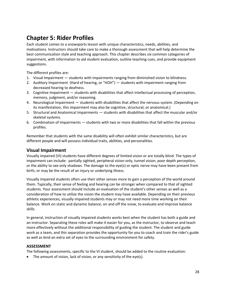# **Chapter 5: Rider Profiles**

Each student comes to a snowsports lesson with unique characteristics, needs, abilities, and motivations. Instructors should take care to make a thorough assessment that will help determine the best communication style and teaching approach. This chapter describes six common categories of impairment, with information to aid student evaluation, outline teaching cues, and provide equipment suggestions.

The different profiles are:

- 1. Visual Impairment students with impairments ranging from diminished vision to blindness.
- 2. Auditory Impairment (Hard of hearing, or "HOH") students with impairment ranging from decreased hearing to deafness.
- 3. Cognitive Impairment students with disabilities that affect intellectual processing of perception, memory, judgment, and/or reasoning.
- 4. Neurological Impairment students with disabilities that affect the nervous system. (Depending on its manifestation, this impairment may also be cognitive, structural, or anatomical.)
- 5. Structural and Anatomical Impairments students with disabilities that affect the muscular and/or skeletal systems.
- 6. Combination of Impairments students with two or more disabilities that fall within the previous profiles.

Remember that students with the same disability will often exhibit similar characteristics, but are different people and will possess individual traits, abilities, and personalities.

# **Visual Impairment**

Visually impaired (VI) students have different degrees of limited vision or are totally blind. The types of impairment can include: partially sighted, peripheral vision only, tunnel vision, poor depth perception, or the ability to see only shadows. The damage to the eye(s) or optic nerve may have been present from birth, or may be the result of an injury or underlying illness.

Visually impaired students often use their other senses more to gain a perception of the world around them. Typically, their sense of feeling and hearing can be stronger when compared to that of sighted students. Your assessment should include an evaluation of the student's other senses as well as a consideration of how to utilize the vision the student may have available. Depending on their previous athletic experiences, visually impaired students may or may not need more time working on their balance. Work on static and dynamic balance, on and off the snow, to evaluate and improve balance skills.

In general, instruction of visually impaired students works best when the student has both a guide and an instructor. Separating these roles will make it easier for you, as the instructor, to observe and teach more effectively without the additional responsibility of guiding the student. The student and guide work as a team, and this separation provides the opportunity for you to coach and train the rider's guide as well as lend an extra set of eyes to the surrounding environment for safety.

# **ASSESSMENT**

The following assessments, specific to the VI student, should be added to the routine evaluation:

• The amount of vision, lack of vision, or any sensitivity of the eye(s).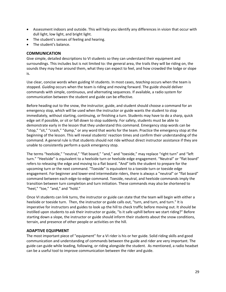- Assessment indoors and outside. This will help you identify any differences in vision that occur with dull light, low light, and bright light.
- The student's senses of feeling and hearing.
- The student's balance.

### **COMMUNICATION**

Give simple, detailed descriptions to VI students so they can understand their equipment and surroundings. This includes but is not limited to: the general area, the trails they will be riding on, the sounds they may hear around them, what they can expect to feel, and how crowded the lodge or slope is.

Use clear, concise words when guiding VI students. In most cases, *teaching* occurs when the team is stopped. *Guiding* occurs when the team is riding and moving forward. The guide should deliver commands with simple, continuous, and alternating sequences. If available, a radio system for communication between the student and guide can be effective.

Before heading out to the snow, the instructor, guide, and student should choose a command for an emergency stop, which will be used when the instructor or guide wants the student to stop immediately, without starting, continuing, or finishing a turn. Students may have to do a sharp, quick edge set if possible, or sit or fall down to stop suddenly. For safety, students must be able to demonstrate early in the lesson that they understand this command. Emergency stop words can be "stop," "sit," "crash," "dump," or any word that works for the team. Practice the emergency stop at the beginning of the lesson. This will reveal students' reaction times and confirm their understanding of the command. A general rule is that students should not ride without direct instructor assistance if they are unable to consistently perform a quick emergency stop.

The terms "heelside," "neutral," "flat board," "and," and "toeside," may replace "right turn" and "left turn." "Heelside" is equivalent to a heelside turn or heelside edge engagement. "Neutral" or "flat board" refers to releasing the edge and moving to a flat board. "And" tells the student to prepare for the upcoming turn or the next command. "Toeside" is equivalent to a toeside turn or toeside edge engagement. For beginner and lower‐end intermediate riders, there is always a "neutral" or "flat board" command between each edge‐to‐edge command. Toeside, neutral, and heelside commands imply the transition between turn completion and turn initiation. These commands may also be shortened to "heel," "toe," "and," and "hold."

Once VI students can link turns, the instructor or guide can state that the team will begin with either a heelside or toeside turn. Then, the instructor or guide calls out, "turn, and turn, and turn." It is imperative for instructors and guides to look up the hill to check traffic before moving out. It should be instilled upon students to ask their instructor or guide, "Is it safe uphill before we start riding?" Before starting down a slope, the instructor or guide should inform their students about the snow conditions, terrain, and presence of other people or activities on the hill.

### **ADAPTIVE EQUIPMENT**

The most important piece of "equipment" for a VI rider is his or her guide. Solid riding skills and good communication and understanding of commands between the guide and rider are very important. The guide can guide while leading, following, or riding alongside the student. As mentioned, a radio headset can be a useful tool to improve communication between the rider and guide.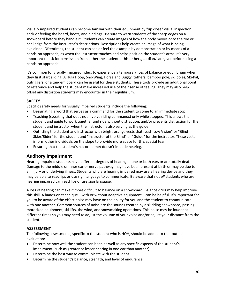Visually impaired students can become familiar with their equipment by "up close" visual inspection and/ or feeling the board, boots, and bindings. Be sure to warn students of the sharp edges on a snowboard before they handle it. Students can create images of how the body moves onto the toe or heel edge from the instructor's descriptions. Descriptions help create an image of what is being explained. Oftentimes, the student can see or feel the example by demonstration or by means of a hands-on approach, as when the instructor touches and helps position the student's arms. It's very important to ask for permission from either the student or his or her guardian/caregiver before using a hands‐on approach.

It's common for visually impaired riders to experience a temporary loss of balance or equilibrium when they first start sliding. A Hula Hoop, Sno‐Wing, Horse and Buggy, tethers, bamboo pole, ski poles, Ski‐Pal, outriggers, or a tandem board can be useful for these students. These tools provide an additional point of reference and help the student make increased use of their sense of feeling. They may also help offset any distortion students may encounter in their equilibrium.

# **SAFETY**

Specific safety needs for visually impaired students include the following:

- Designating a word that serves as a command for the student to come to an immediate stop.
- Teaching (speaking that does not involve riding commands) only while stopped. This allows the student and guide to work together and ride without distraction, and/or prevents distraction for the student and instructor when the instructor is also serving as the guide.
- Outfitting the student and instructor with bright‐orange vests that read "Low Vision" or "Blind Skier/Rider" for the student and "Instructor of the Blind" or "Guide" for the instructor. These vests inform other individuals on the slope to provide more space for this special team.
- Ensuring that the student's hat or helmet doesn't impede hearing.

# **Auditory Impairment**

Hearing-impaired students have different degrees of hearing in one or both ears or are totally deaf. Damage to the middle or inner ear or nerve pathway may have been present at birth or may be due to an injury or underlying illness. Students who are hearing impaired may use a hearing device and they may be able to read lips or use sign language to communicate. Be aware that not *all* students who are hearing impaired can read lips or use sign language.

A loss of hearing can make it more difficult to balance on a snowboard. Balance drills may help improve this skill. A hands‐on technique – with or without adaptive equipment – can be helpful. It's important for you to be aware of the effect noise may have on the ability for you and the student to communicate with one another. Common sources of noise are the sounds created by a skidding snowboard, passing motorized equipment, ski lifts, the wind, and snowmaking operations. This noise may be louder at different times so you may need to adjust the volume of your voice and/or adjust your distance from the student.

# **ASSESSMENT**

The following assessments, specific to the student who is HOH, should be added to the routine evaluation:

- Determine how well the student can hear, as well as any specific aspects of the student's impairment (such as greater or lesser hearing in one ear than another).
- Determine the best way to communicate with the student.
- Determine the student's balance, strength, and level of endurance.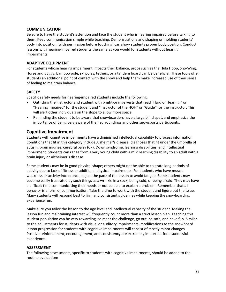# **COMMUNICATIO**N

Be sure to have the student's attention and face the student who is hearing impaired before talking to them. Keep communication simple while teaching. Demonstrations and shaping or molding students' body into position (with permission before touching) can show students proper body position. Conduct lessons with hearing‐impaired students the same as you would for students without hearing impairments.

# **ADAPTIVE EQUIPMENT**

For students whose hearing impairment impacts their balance, props such as the Hula Hoop, Sno-Wing, Horse and Buggy, bamboo pole, ski poles, tethers, or a tandem board can be beneficial. These tools offer students an additional point of contact with the snow and help them make increased use of their sense of feeling to maintain balance.

# **SAFETY**

Specific safety needs for hearing‐impaired students include the following:

- Outfitting the instructor and student with bright‐orange vests that read "Hard of Hearing," or "Hearing impaired" for the student and "Instructor of the HOH'' or "Guide'' for the instructor. This will alert other individuals on the slope to allow more space.
- Reminding the student to be aware that snowboarders have a large blind spot, and emphasize the importance of being very aware of their surroundings and other snowsports participants.

# **Cognitive Impairment**

Students with cognitive impairments have a diminished intellectual capability to process information. Conditions that fit in this category include Alzheimer's disease, diagnoses that fit under the umbrella of autism, brain injuries, cerebral palsy (CP), Down syndrome, learning disabilities, and intellectual impairment. Students can range from a very young child with a mild learning disability to an adult with a brain injury or Alzheimer's disease.

Some students may be in good physical shape; others might not be able to tolerate long periods of activity due to lack of fitness or additional physical impairments. For students who have muscle weakness or activity intolerance, adjust the pace of the lesson to avoid fatigue. Some students may become easily frustrated by such things as a wrinkle in a sock, being cold, or being afraid. They may have a difficult time communicating their needs or not be able to explain a problem. Remember that all behavior is a form of communication. Take the time to work with the student and figure out the issue. Many students will respond best to firm and consistent guidelines while keeping the snowboarding experience fun.

Make sure you tailor the lesson to the age level and intellectual capacity of the student. Making the lesson fun and maintaining interest will frequently count more than a strict lesson plan. Teaching this student population can be very rewarding, so meet the challenge, go out, be safe, and have fun. Similar to the adjustments for students with visual or auditory impairments, modifications to the snowboard lesson progression for students with cognitive impairments will consist of mostly minor changes. Positive reinforcement, encouragement, and consistency are extremely important for a successful experience.

### **ASSESSMENT**

The following assessments, specific to students with cognitive impairments, should be added to the routine evaluation: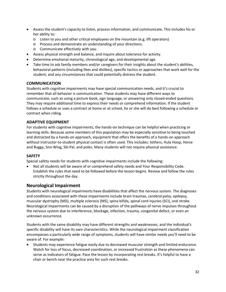- Assess the student's capacity to listen, process information, and communicate. This includes his or her ability to:
	- $\circ$  Listen to you and other critical employees on the mountain (e.g. lift operators)
	- o Process and demonstrate an understanding of your directions.
	- o Communicate effectively with you.
- Assess physical strength and balance, and inquire about tolerance for activity.
- Determine emotional maturity, chronological age, and developmental age.
- Take time to ask family members and/or caregivers for their insights about the student's abilities, behavioral patterns (including likes and dislikes), specific tactics or approaches that work well for the student, and any circumstances that could potentially distress the student.

# **COMMUNICATION**

Students with cognitive impairments may have special communication needs, and it's crucial to remember that all behavior is communication. These students may have different ways to communicate, such as using a picture book, sign language, or answering only closed-ended questions. They may require additional time to express their needs or comprehend information. If the student follows a schedule or uses a contract at home or at school, he or she will do best following a schedule or contract when riding.

# **ADAPTIVE EQUIPMENT**

For students with cognitive impairments, the hands‐on technique can be helpful when practicing or learning skills. Because some members of this population may be especially sensitive to being touched and distracted by a hands‐on approach, equipment that offers the benefits of a hands‐on approach without instructor-to-student physical contact is often used. This includes: tethers, Hula Hoop, Horse and Buggy, Sno‐Wing, Ski‐Pal, and poles. Many students will not require physical assistance.

# **SAFETY**

Special safety needs for students with cognitive impairments include the following:

• Not all students will be aware of or comprehend safety needs and Your Responsibility Code. Establish the rules that need to be followed before the lesson begins. Review and follow the rules strictly throughout the day.

# **Neurological Impairment**

Students with neurological impairments have disabilities that affect the nervous system. The diagnoses and conditions associated with these impairments include brain traumas, cerebral palsy, epilepsy, muscular dystrophy (MD), multiple sclerosis (MS), spina bifida, spinal cord injuries (SCI), and stroke. Neurological impairments can be caused by a disruption of the pathways of nerve impulses throughout the nervous system due to interference, blockage, infection, trauma, congenital defect, or even an unknown occurrence.

Students with the same disability may have different strengths and weaknesses, and the individual's specific disability will have its own characteristics. While the neurological impairment classification encompasses a particularly wide range of symptoms, students will have similar needs you'll need to be aware of. For example:

• Students may experience fatigue easily due to decreased muscular strength and limited endurance. Watch for loss of focus, decreased coordination, or increased frustration as these phenomena can serve as indicators of fatigue. Pace the lesson by incorporating rest breaks. It's helpful to have a chair or bench near the practice area for such rest breaks.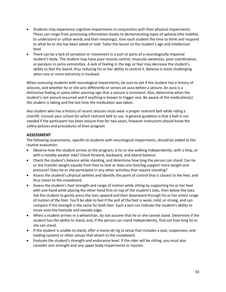- Students may experience cognitive impairments in conjunction with their physical impairments. These can range from processing information slowly to demonstrating types of aphasia (the inability to understand or utilize words and their meanings). Give each student the time to think and respond to what he or she has been asked or told. Tailor the lesson to the student's age and intellectual level.
- There can be a lack of sensation or movement in a part or parts of a neurologically impaired student's body. The student may have poor muscle control, muscular weakness, poor coordination, or paralysis in some extremities. A lack of feeling in the legs or feet may decrease the student's ability to feel the board, thus reducing his or her ability to control it. Balance is more challenging when one or more extremity is involved.

When assessing students with neurological impairments, be sure to ask if the student has a history of seizures, and whether he or she acts differently or senses an aura before a seizure. An aura is a distinctive feeling or some other warning sign that a seizure is imminent. Also, determine when the student's last seizure occurred and if anything is known to trigger one. Be aware of the medication(s) the student is taking and the last time the medication was taken.

Any student who has a history of recent seizures must wear a proper restraint belt while riding a chairlift. Consult your school for which restraint belt to use. A general guideline is that a belt is not needed if the participant has been seizure‐free for two years, however instructors should know the safety policies and procedures of their program.

# **ASSESSMENT**

The following assessments, specific to students with neurological impairments, should be added to the routine evaluation:

- Observe how the student arrives at the program; is he or she walking independently, with a limp, or with a notably weaker side? Check forward, backward, and lateral balance.
- Check the student's balance while standing, and determine how long the person can stand. Can he or she transfer weight equally from foot to foot or does one foot/leg support more weight and pressure? Does he or she participate in any other activities that require standing?
- Assess the student's physical abilities and identify the point of control that is closest to the feet, and thus closer to the snowboard.
- Assess the student's foot strength and range of motion while sitting by supporting his or her heel with one hand while placing the other hand first on top of the student's toes, then below the toes. Ask the student to gently press the toes upward and then downward through his or her entire range of motion of the foot. You'll be able to feel if the pull of the foot is weak, mild, or strong, and can compare if the strength is the same for both feet. Such a test can indicate the student's ability to move onto the heelside and toeside edge.
- When a student arrives in a wheelchair, do not assume that he or she cannot stand. Determine if the student has the ability to stand, and, if the person can stand independently, find out how long he or she can stand.
- If the student is unable to stand, offer a mono-ski rig (a setup that includes a seat, suspension, and loading system) or other setups that attach to the snowboard.
- Evaluate the student's strength and endurance level. If the rider will be sitting, you must also consider arm strength and any upper body impairments or injuries.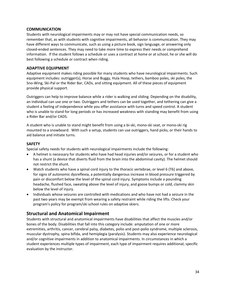# **COMMUNICATION**

Students with neurological impairments may or may not have special communication needs, so remember that, as with students with cognitive impairments, all behavior is communication. They may have different ways to communicate, such as using a picture book, sign language, or answering only closed‐ended sentences. They may need to take more time to express their needs or comprehend information. If the student follows a schedule or uses a contract at home or at school, he or she will do best following a schedule or contract when riding.

# **ADAPTIVE EQUIPMENT**

Adaptive equipment makes riding possible for many students who have neurological impairments. Such equipment includes: outrigger(s), Horse and Buggy, Hula Hoop, tethers, bamboo poles, ski poles, the Sno‐Wing, Ski‐Pal or the Rider Bar, CADs, and sitting equipment. All of these pieces of equipment provide physical support.

Outriggers can help to improve balance while a rider is walking and sliding. Depending on the disability, an individual can use one or two. Outriggers and tethers can be used together, and tethering can give a student a feeling of independence while you offer assistance with turns and speed control. A student who is unable to stand for long periods or has increased weakness with standing may benefit from using a Rider Bar and/or CADS.

A student who is unable to stand might benefit from using a bi‐ski, mono‐ski seat, or mono‐ski rig mounted to a snowboard. With such a setup, students can use outriggers, hand picks, or their hands to aid balance and initiate turns.

# **SAFETY**

Special safety needs for students with neurological impairments include the following:

- A helmet is necessary for students who have had head injuries and/or seizures, or for a student who has a shunt (a device that diverts fluid from the brain into the abdominal cavity). The helmet should not restrict the shunt.
- Watch students who have a spinal cord injury to the thoracic vertebrae, or level 6 (T6) and above, for signs of autonomic dysreflexia, a potentially dangerous increase in blood pressure triggered by pain or discomfort below the level of the spinal cord injury. Symptoms include a pounding headache, flushed face, sweating above the level of injury, and goose bumps or cold, clammy skin below the level of injury.
- Individuals whose seizures are controlled with medications and who have not had a seizure in the past two years may be exempt from wearing a safety restraint while riding the lifts. Check your program's policy for program/ski school rules on adaptive skiers.

# **Structural and Anatomical Impairment**

Students with structural and anatomical impairments have disabilities that affect the muscles and/or bones of the body. Disabilities that fall into this category include: amputation of one or more extremities, arthritis, cancer, cerebral palsy, diabetes, polio and post‐polio syndrome, multiple sclerosis, muscular dystrophy, spina bifida, and hemiplegia (paralysis). Students may also experience neurological and/or cognitive impairments in addition to anatomical impairments. In circumstances in which a student experiences multiple types of impairment, each type of impairment requires additional, specific evaluation by the instructor.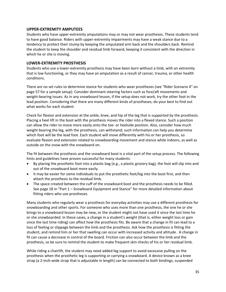# **UPPER‐EXTREMITY AMPUTEES**

Students who have upper‐extremity amputations may or may not wear prostheses. These students tend to have good balance. Riders with upper‐extremity impairments may have a weak stance due to a tendency to protect their stump by keeping the amputated arm back and the shoulders back. Remind the student to keep the shoulder and residual limb forward, keeping it consistent with the direction in which he or she is moving.

# **LOWER‐EXTREMITY PROSTHESIS**

Students who use a lower‐extremity prosthesis may have been born without a limb, with an extremity that is low functioning, or they may have an amputation as a result of cancer, trauma, or other health conditions.

There are no set rules to determine stance for students who wear prostheses (see "Rider Scenario 4" on page 57 for a sample setup). Consider dominant steering factors such as fore/aft movements and weight-bearing issues. As in any snowboard lesson, if the setup does not work, try the other foot in the lead position. Considering that there are many different kinds of prostheses; do your best to find out what works for each student

Check for flexion and extension at the ankle, knee, and hip of the leg that is supported by the prosthesis. Placing a heel lift in the boot with the prosthesis moves the rider into a flexed stance. Such a position can allow the rider to move more easily onto the toe‐ or heelside position. Also, consider how much weight bearing the leg, with the prosthesis, can withstand; such information can help you determine which foot will be the lead foot. Each student will move differently with his or her prosthesis, so evaluate flexion and extension related to snowboarding movement and stance while indoors, as well as outside on the snow with the snowboard on.

The fit between the prosthesis and the snowboard boot is a vital part of the setup process. The following hints and guidelines have proven successful for many students:

- By placing the prosthetic foot into a plastic bag (e.g., a plastic grocery bag), the foot will slip into and out of the snowboard boot more easily.
- It may be easier for some individuals to put the prosthetic foot/leg into the boot first, and then attach the prosthesis to the residual limb.
- The space created between the cuff of the snowboard boot and the prosthesis needs to be filled. See page 18 in "Part 1 – Snowboard Equipment and Stance" for more detailed information about fitting riders who use prostheses.

Many students who regularly wear a prosthesis for everyday activities may use a different prosthesis for snowboarding and other sports. For someone who uses more than one prosthesis, the one he or she brings to a snowboard lesson may be new, or the student might not have used it since the last time he or she snowboarded. In these cases, a change in a student's weight (that is, either weight loss or gain since the last time riding) can affect how the prosthesis fits. Be aware that a change in fit can lead to a loss of feeling or slippage between the limb and the prosthesis. Ask how the prosthesis is fitting the student, and remind him or her that swelling can occur with increased activity and altitude. A change in fit can cause a decrease in control of the board. Friction can also occur between the limb and the prosthesis, so be sure to remind the student to make frequent skin checks of his or her residual limb.

While riding a chairlift, the student may need added leg support to avoid excessive pulling on the prosthesis when the prosthetic leg is supporting or carrying a snowboard. A device known as a knee strap (a 2‐inch‐wide strap that is adjustable in length) can be connected to both bindings, suspended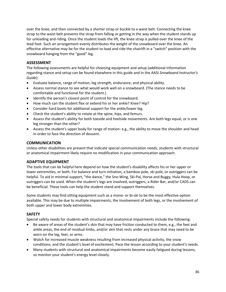over the knee, and then connected by a shorter strap or buckle to a waist belt. Connecting the knee strap to the waist belt prevents the strap from falling or getting in the way when the student stands up for unloading and riding. Once the student loads the lift, the knee strap is pulled over the knee of the lead foot. Such an arrangement evenly distributes the weight of the snowboard over the knee. An effective alternative may be for the student to load and ride the chairlift in a "switch" position with the snowboard hanging from the "good" leg.

# **ASSESSMENT**

The following assessments are helpful for choosing equipment and setup (additional information regarding stance and setup can be found elsewhere in this guide and in the AASI *Snowboard Instructor's Guide*):

- Evaluate balance, range of motion, leg strength, endurance, and physical ability.
- Assess normal stance to see what would work well on a snowboard. (The stance needs to be comfortable and functional for the student.)
- Identify the person's closest point of control for the snowboard.
- How much can the student flex or extend his or her ankle? Knee? Hip?
- Consider hard boots for additional support for the ankle/lower leg.
- Check the student's ability to rotate at the spine, hips, and femurs.
- Assess the student's ability for both toeside and heelside movements. Are both legs equal, or is one leg stronger than the other?
- Assess the student's upper body for range of motion: e.g., the ability to move the shoulder and head in order to face the direction of descent.

# **COMMUNICATION**

Unless other disabilities are present that indicate special communication needs, students with structural or anatomical impairment likely require no modification in your communication approach.

### **ADAPTIVE EQUIPMENT**

The tools that can be helpful here depend on how the student's disability affects his or her upper or lower extremities, or both. For balance and turn initiation, a bamboo pole, ski pole, or outriggers can be helpful. To aid in minimal support, "the dance," the Sno-Wing, Ski-Pal, Horse and Buggy, Hula Hoop, or outriggers can be used. When the student's legs are involved, outriggers, a Rider Bar, and/or CADS can be beneficial. These tools can help the student stand and support themselves.

Some students may find sitting equipment such as a mono‐ or bi‐ski to be the most effective option available. This may be due to multiple impairments, the involvement of both legs, or the involvement of both upper and lower body extremities.

# **SAFETY**

Special safety needs for students with structural and anatomical impairments include the following:

- Be aware of areas of the student's skin that may have friction conducted to them, e.g., the feet and ankle areas, the end of residual limbs, and/or skin that rests under any brace that may need to be worn on the leg, feet, or arms.
- Watch for increased muscle weakness resulting from increased physical activity, the snow conditions, and the student's level of excitement. Pace the lesson according to your student's needs.
- Many students with structural and anatomical impairments become easily fatigued during lessons, so monitor your student's energy level closely.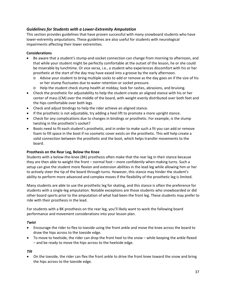# *Guidelines for Students with a Lower‐Extremity Amputation*

This section provides guidelines that have proven successful with many snowboard students who have lower‐extremity amputations. These guidelines are also useful for students with neurological impairments affecting their lower extremities.

# **Considerations**

- Be aware that a student's stump‐and‐socket connection can change from morning to afternoon, and that while your student might be perfectly comfortable at the outset of the lesson, he or she could be miserable by lunchtime. Or vice versa, i.e., a student who experiences discomfort with his or her prosthetic at the start of the day may have eased into a groove by the early afternoon.
	- o Advise your student to bring multiple socks to add or remove as the day goes on if the size of his or her stump fluctuates due to water retention or socket pressure.
	- o Help the student check stump health at midday; look for rashes, abrasions, and bruising.
- Check the prosthetic for adjustability to help the student create an aligned stance with his or her center of mass (CM) over the middle of the board, with weight evenly distributed over both feet and the hips comfortable over both legs.
- Check and adjust bindings to help the rider achieve an aligned stance.
- If the prosthetic is not adjustable, try adding a heel lift to promote a more upright stance.
- Check for any complications due to changes in bindings or prosthetic. For example, is the stump twisting in the prosthetic's socket?
- Boots need to fit each student's prosthetic, and in order to make such a fit you can add or remove foam to fill space in the boot if no cosmetic cover exists on the prosthetic. This will help create a solid connection between the prosthetic and the boot, which helps transfer movements to the board.

### **Prosthesis on the Rear Leg, Below the Knee**

Students with a below‐the‐knee (BK) prosthesis often make that the rear leg in their stance because they are then able to weight the front – normal foot – more confidently when making turns. Such a setup can give the student more flexion and extension abilities in the lead leg while allowing him or her to actively steer the tip of the board through turns. However, this stance may hinder the student's ability to perform more advanced and complex moves if the flexibility of the prosthetic leg is limited.

Many students are able to use the prosthetic leg for skating, and this stance is often the preference for students with a single‐leg amputation. Notable exceptions are those students who snowboarded or did other board sports prior to the amputation of what had been the front leg. These students may prefer to ride with their prosthesis in the lead.

For students with a BK prosthesis on the rear leg, you'll likely want to work the following board performance and movement considerations into your lesson plan.

### *Twist*

- Encourage the rider to flex to toeside using the front ankle and move the knee across the board to draw the hips across to the toeside edge.
- To move to heelside, the rider can drop the front heel to the snow while keeping the ankle flexed – and be ready to move the hips across to the heelside edge.

### *Tilt*

• On the toeside, the rider can flex the front ankle to drive the front knee toward the snow and bring the hips across to the toeside edge.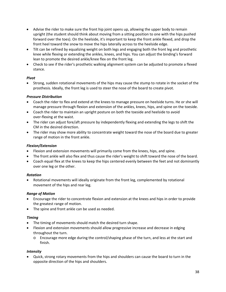- Advise the rider to make sure the front hip joint opens up, allowing the upper body to remain upright (the student should think about moving from a sitting position to one with the hips pushed forward over the toes). On the heelside, it's important to keep the front ankle flexed, and drop the front heel toward the snow to move the hips laterally across to the heelside edge.
- Tilt can be refined by equalizing weight on both legs and engaging both the front leg and prosthetic knee while flexing or extending the ankles, knees, and hips. You can adjust the binding's forward lean to promote the desired ankle/knee flex on the front leg.
- Check to see if the rider's prosthetic walking alignment system can be adjusted to promote a flexed stance.

# *Pivot*

• Strong, sudden rotational movements of the hips may cause the stump to rotate in the socket of the prosthesis. Ideally, the front leg is used to steer the nose of the board to create pivot.

# *Pressure Distribution*

- Coach the rider to flex and extend at the knees to manage pressure on heelside turns. He or she will manage pressure through flexion and extension of the ankles, knees, hips, and spine on the toeside.
- Coach the rider to maintain an upright posture on both the toeside and heelside to avoid over‐flexing at the waist.
- The rider can adjust fore/aft pressure by independently flexing and extending the legs to shift the CM in the desired direction.
- The rider may show more ability to concentrate weight toward the nose of the board due to greater range of motion in the front ankle.

# *Flexion/Extension*

- Flexion and extension movements will primarily come from the knees, hips, and spine.
- The front ankle will also flex and thus cause the rider's weight to shift toward the nose of the board.
- Coach equal flex at the knees to keep the hips centered evenly between the feet and not dominantly over one leg or the other.

# *Rotation*

• Rotational movements will ideally originate from the front leg, complemented by rotational movement of the hips and rear leg.

# *Range of Motion*

- Encourage the rider to concentrate flexion and extension at the knees and hips in order to provide the greatest range of motion.
- The spine and front ankle can be used as needed.

# *Timing*

- The timing of movements should match the desired turn shape.
- Flexion and extension movements should allow progressive increase and decrease in edging throughout the turn.
	- o Encourage more edge during the control/shaping phase of the turn, and less at the start and finish.

# *Intensity*

• Quick, strong rotary movements from the hips and shoulders can cause the board to turn in the opposite direction of the hips and shoulders.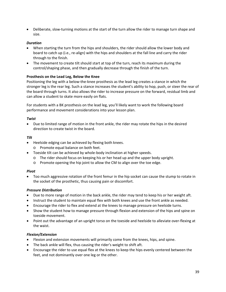• Deliberate, slow-turning motions at the start of the turn allow the rider to manage turn shape and size.

### *Duration*

- When starting the turn from the hips and shoulders, the rider should allow the lower body and board to catch up (i.e., re‐align) with the hips and shoulders at the fall line and carry the rider through to the finish.
- The movement to create tilt should start at top of the turn, reach its maximum during the control/shaping phase, and then gradually decrease through the finish of the turn.

#### **Prosthesis on the Lead Leg, Below the Knee**

Positioning the leg with a below‐the‐knee prosthesis as the lead leg creates a stance in which the stronger leg is the rear leg. Such a stance increases the student's ability to hop, push, or steer the rear of the board through turns. It also allows the rider to increase pressure on the forward, residual limb and can allow a student to skate more easily on flats.

For students with a BK prosthesis on the lead leg, you'll likely want to work the following board performance and movement considerations into your lesson plan.

#### *Twist*

• Due to limited range of motion in the front ankle, the rider may rotate the hips in the desired direction to create twist in the board.

#### *Tilt*

- Heelside edging can be achieved by flexing both knees.
	- o Promote equal balance on both feet.
- Toeside tilt can be achieved by whole‐body inclination at higher speeds.
	- o The rider should focus on keeping his or her head up and the upper body upright.
	- o Promote opening the hip joint to allow the CM to align over the toe edge.

#### *Pivot*

• Too much aggressive rotation of the front femur in the hip socket can cause the stump to rotate in the socket of the prosthetic, thus causing pain or discomfort.

#### *Pressure Distribution*

- Due to more range of motion in the back ankle, the rider may tend to keep his or her weight aft.
- Instruct the student to maintain equal flex with both knees and use the front ankle as needed.
- Encourage the rider to flex and extend at the knees to manage pressure on heelside turns.
- Show the student how to manage pressure through flexion and extension of the hips and spine on toeside movement.
- Point out the advantage of an upright torso on the toeside and heelside to alleviate over‐flexing at the waist.

### *Flexion/Extension*

- Flexion and extension movements will primarily come from the knees, hips, and spine.
- The back ankle will flex, thus causing the rider's weight to shift aft.
- Encourage the rider to use equal flex at the knees to keep the hips evenly centered between the feet, and not dominantly over one leg or the other.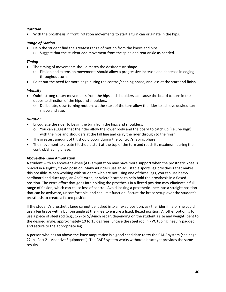# *Rotation*

• With the prosthesis in front, rotation movements to start a turn can originate in the hips.

# *Range of Motion*

- Help the student find the greatest range of motion from the knees and hips.
	- o Suggest that the student add movement from the spine and rear ankle as needed.

# *Timing*

- The timing of movements should match the desired turn shape.
	- o Flexion and extension movements should allow a progressive increase and decrease in edging throughout turn.
- Point out the need for more edge during the control/shaping phase, and less at the start and finish.

# *Intensity*

- Quick, strong rotary movements from the hips and shoulders can cause the board to turn in the opposite direction of the hips and shoulders.
	- o Deliberate, slow‐turning motions at the start of the turn allow the rider to achieve desired turn shape and size.

# *Duration*

- Encourage the rider to begin the turn from the hips and shoulders.
	- $\circ$  You can suggest that the rider allow the lower body and the board to catch up (i.e., re-align) with the hips and shoulders at the fall line and carry the rider through to the finish.
- The greatest amount of tilt should occur during the control/shaping phase.
- The movement to create tilt should start at the top of the turn and reach its maximum during the control/shaping phase.

### **Above‐the‐Knee Amputation**

A student with an above‐the‐knee (AK) amputation may have more support when the prosthetic knee is braced in a slightly flexed position. Many AK riders use an adjustable sports leg prosthesis that makes this possible. When working with students who are not using one of these legs, you can use heavy cardboard and duct tape, an Ace™ wrap, or Velcro™ straps to help hold the prosthesis in a flexed position. The extra effort that goes into holding the prosthesis in a flexed position may eliminate a full range of flexion, which can cause loss of control. Avoid locking a prosthetic knee into a straight position that can be awkward, uncomfortable, and can limit function. Secure the brace setup over the student's prosthesis to create a flexed position.

If the student's prosthetic knee cannot be locked into a flexed position, ask the rider if he or she could use a leg brace with a built‐in angle at the knee to ensure a fixed, flexed position. Another option is to use a piece of steel rod (e.g., 1/2‐ or 5/8‐inch rebar, depending on the student's size and weight) bent to the desired angle, approximately 10 to 15 degrees. Encase the steel rod in PVC tubing, heavily padded, and secure to the appropriate leg.

A person who has an above‐the‐knee amputation is a good candidate to try the CADS system (see page 22 in "Part 2 – Adaptive Equipment"). The CADS system works without a brace yet provides the same results.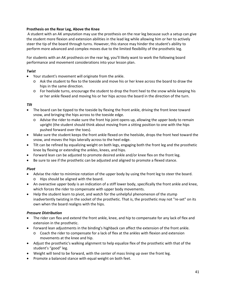# **Prosthesis on the Rear Leg, Above the Knee**

A student with an AK amputation may use the prosthesis on the rear leg because such a setup can give the student more flexion and extension abilities in the lead leg while allowing him or her to actively steer the tip of the board through turns. However, this stance may hinder the student's ability to perform more advanced and complex moves due to the limited flexibility of the prosthetic leg.

For students with an AK prosthesis on the rear leg, you'll likely want to work the following board performance and movement considerations into your lesson plan.

# *Twist*

- Your student's movement will originate from the ankle.
	- o Ask the student to flex to the toeside and move his or her knee across the board to draw the hips in the same direction.
	- o For heelside turns, encourage the student to drop the front heel to the snow while keeping his or her ankle flexed and moving his or her hips across the board in the direction of the turn.

# *Tilt*

- The board can be tipped to the toeside by flexing the front ankle, driving the front knee toward snow, and bringing the hips across to the toeside edge.
	- $\circ$  Advise the rider to make sure the front hip joint opens up, allowing the upper body to remain upright (the student should think about moving from a sitting position to one with the hips pushed forward over the toes).
- Make sure the student keeps the front ankle flexed on the heelside, drops the front heel toward the snow, and moves the hips laterally across to the heel edge.
- Tilt can be refined by equalizing weight on both legs, engaging both the front leg and the prosthetic knee by flexing or extending the ankles, knees, and hips.
- Forward lean can be adjusted to promote desired ankle and/or knee flex on the front leg.
- Be sure to see if the prosthetic can be adjusted and aligned to promote a flexed stance.

### *Pivot*

- Advise the rider to minimize rotation of the upper body by using the front leg to steer the board.
	- o Hips should be aligned with the board.
- An overactive upper body is an indication of a stiff lower body, specifically the front ankle and knee, which forces the rider to compensate with upper body movements.
- Help the student learn to pivot, and watch for the unhelpful phenomenon of the stump inadvertently twisting in the socket of the prosthetic. That is, the prosthetic may not "re-set" on its own when the board realigns with the hips.

### *Pressure Distribution*

- The rider can flex and extend the front ankle, knee, and hip to compensate for any lack of flex and extension in the prosthetic.
- Forward lean adjustments in the binding's highback can affect the extension of the front ankle.
	- o Coach the rider to compensate for a lack of flex at the ankles with flexion and extension movements at the knee and hip.
- Adjust the prosthetic's walking alignment to help equalize flex of the prosthetic with that of the student's "good" leg.
- Weight will tend to be forward, with the center of mass lining up over the front leg.
- Promote a balanced stance with equal weight on both feet.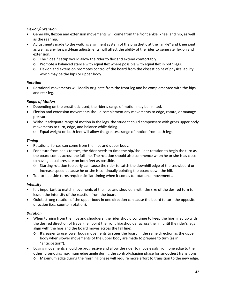# *Flexion/Extension*

- Generally, flexion and extension movements will come from the front ankle, knee, and hip, as well as the rear hip.
- Adjustments made to the walking alignment system of the prosthetic at the "ankle" and knee joint, as well as any forward-lean adjustments, will affect the ability of the rider to generate flexion and extension.
	- o The "ideal" setup would allow the rider to flex and extend comfortably.
	- o Promote a balanced stance with equal flex where possible with equal flex in both legs.
	- o Flexion and extension promotes control of the board from the closest point of physical ability, which may be the hips or upper body.

### *Rotation*

• Rotational movements will ideally originate from the front leg and be complemented with the hips and rear leg.

# *Range of Motion*

- Depending on the prosthetic used, the rider's range of motion may be limited.
- Flexion and extension movements should complement any movements to edge, rotate, or manage pressure.
- Without adequate range of motion in the legs, the student could compensate with gross upper body movements to turn, edge, and balance while riding.
	- o Equal weight on both feet will allow the greatest range of motion from both legs.

### *Timing*

- Rotational forces can come from the hips and upper body.
- For a turn from heels to toes, the rider needs to time the hip/shoulder rotation to begin the turn as the board comes across the fall line. The rotation should also commence when he or she is as close to having equal pressure on both feet as possible.
	- o Starting rotation too early can cause the rider to catch the downhill edge of the snowboard or increase speed because he or she is continually pointing the board down the hill.
- Toe-to-heelside turns require similar timing when it comes to rotational movements.

### *Intensity*

- It is important to match movements of the hips and shoulders with the size of the desired turn to lessen the intensity of the reaction from the board.
- Quick, strong rotation of the upper body in one direction can cause the board to turn the opposite direction (i.e., counter‐rotation).

### *Duration*

- When turning from the hips and shoulders, the rider should continue to keep the hips lined up with the desired direction of travel (i.e., point the front hip/shoulder across the hill until the rider's legs align with the hips and the board moves across the fall line).
	- o It's easier to use lower body movements to steer the board in the same direction as the upper body when slower movements of the upper body are made to prepare to turn (as in "anticipation").
- Edging movements should be progressive and allow the rider to move easily from one edge to the other, promoting maximum edge angle during the control/shaping phase for smoothest transitions.
	- o Maximum edge during the finishing phase will require more effort to transition to the new edge.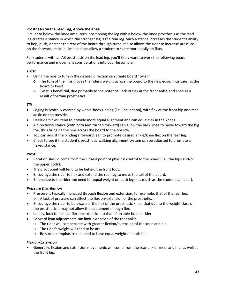# **Prosthesis on the Lead Leg, Above the Knee**

Similar to below-the-knee amputees, positioning the leg with a below-the-knee prosthesis as the lead leg creates a stance in which the stronger leg is the rear leg. Such a stance increases the student's ability to hop, push, or steer the rear of the board through turns. It also allows the rider to increase pressure on the forward, residual limb and can allow a student to skate more easily on flats.

For students with an AK prosthesis on the lead leg, you'll likely want to work the following board performance and movement considerations into your lesson plan.

# *Twist*

- Using the hips to turn in the desired direction can create board "twist."
	- $\circ$  The turn of the hips moves the rider's weight across the board to the new edge, thus causing the board to twist.
	- o Twist is beneficial, due primarily to the potential lack of flex at the front ankle and knee as a result of certain prosthetics.

# *Tilt*

- Edging is typically created by whole‐body tipping (i.e., inclination), with flex at the front hip and rear ankle on the toeside.
- Heelside tilt will tend to provide more equal alignment and can equal flex in the knees.
- A directional stance (with both feet turned forward) can allow the back knee to move toward the big toe, thus bringing the hips across the board to the toeside.
- You can adjust the binding's forward lean to promote desired ankle/knee flex on the rear leg.
- Check to see if the student's prosthetic walking alignment system can be adjusted to promote a flexed stance.

### *Pivot*

- Rotation should come from the closest point of physical control to the board (i.e., the hips and/or the upper body).
- The pivot point will tend to be behind the front foot.
- Encourage the rider to flex and extend the rear leg to move the tail of the board.
- Emphasize to the rider the need for equal weight on both legs (as much as the student can bear).

### *Pressure Distribution*

- Pressure is typically managed through flexion and extension; for example, that of the rear leg.
	- o A lack of pressure can affect the flexion/extension of the prosthetic.
- Encourage the rider to be aware of the flex of the prosthetic knee, that due to the weight class of the prosthetic it may not allow the equipment enough flex.
- Ideally, look for similar flexion/extension to that of an able‐bodied rider.
- Forward lean adjustments can limit extension of the rear ankle.
	- o The rider will compensate with greater flexion/extension of the knee and hip.
	- o The rider's weight will tend to be aft.
	- o Be sure to emphasize the need to have equal weight on both feet

### *Flexion/Extension*

• Generally, flexion and extension movements will come from the rear ankle, knee, and hip, as well as the front hip.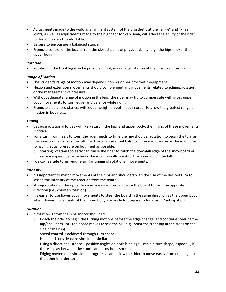- Adjustments made to the walking alignment system of the prosthetic at the "ankle" and "knee" joints, as well as adjustments made to the highback forward lean, will affect the ability of the rider to flex and extend comfortably.
- Be sure to encourage a balanced stance.
- Promote control of the board from the closest point of physical ability (e.g., the hips and/or the upper body).

# *Rotation*

• Rotation of the front leg may be possible; if not, encourage rotation of the hips to aid turning.

# *Range of Motion*

- The student's range of motion may depend upon his or her prosthetic equipment.
- Flexion and extension movements should complement any movements related to edging, rotation, or the management of pressure.
- Without adequate range of motion in the legs, the rider may try to compensate with gross upper body movements to turn, edge, and balance while riding.
- Promote a balanced stance, with equal weight on both feet in order to allow the greatest range of motion in both legs.

### *Timing*

- Because rotational forces will likely start in the hips and upper body, the timing of these movements is critical.
- For a turn from heels to toes, the rider needs to time the hip/shoulder rotation to begin the turn as the board comes across the fall line. The rotation should also commence when he or she is as close to having equal pressure on both feet as possible.
	- o Starting rotation too early can cause the rider to catch the downhill edge of the snowboard or increase speed because he or she is continually pointing the board down the hill.
- Toe‐to‐heelside turns require similar timing of rotational movements.

# *Intensity*

- It's important to match movements of the hips and shoulders with the size of the desired turn to lessen the intensity of the reaction from the board.
- Strong rotation of the upper body in one direction can cause the board to turn the opposite direction (i.e., counter‐rotation).
- It's easier to use lower body movements to steer the board in the same direction as the upper body when slower movements of the upper body are made to prepare to turn (as in "anticipation").

### *Duration*

- If rotation is from the hips and/or shoulders:
	- o Coach the rider to begin the turning motions before the edge change, and continue steering the hip/shoulders until the board moves across the hill (e.g., point the front hip at the trees on the side of the run).
	- o Speed control is achieved through turn shape.
	- o Heel‐ and toeside turns should be similar.
	- $\circ$  Using a directional stance positive angles on both bindings can aid turn shape, especially if there is play between the stump and prosthetic socket.
	- o Edging movements should be progressive and allow the rider to move easily from one edge to the other in order to: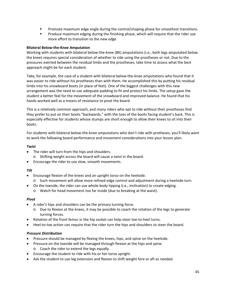- **Promote maximum edge angle during the control/shaping phase for smoothest transitions.**
- **Produce maximum edging during the finishing phase, which will require that the rider use** more effort to transition to the new edge

# **Bilateral Below‐the‐Knee Amputation**

Working with students with bilateral below-the-knee (BK) amputations (i.e., both legs amputated below the knee) requires special consideration of whether to ride using the prostheses or not. Due to the pressures exerted between the residual limbs and the prostheses, take time to assess what the best approach might be for each student.

Take, for example, the case of a student with bilateral below‐the‐knee amputations who found that it was easier to ride without his prostheses than with them. He accomplished this by putting his residual limbs into his snowboard boots (in place of feet). One of the biggest challenges with this new arrangement was the need to use adequate padding to fit and protect his limbs. The setup gave the student a better feel for the movement of the snowboard and improved balance. He found that his hands worked well as a means of resistance to pivot the board.

This is a relatively common approach, and many riders who opt to ride without their prostheses find they prefer to put on their boots "backwards," with the toes of the boots facing student's back. This is especially effective for students whose stumps are short enough to allow their knees to sit into their boots.

For students with bilateral below‐the‐knee amputations who don't ride with protheses, you'll likely want to work the following board performance and movement considerations into your lesson plan.

# *Twist*

- The rider will turn from the hips and shoulders.
	- o Shifting weight across the board will cause a twist in the board.
- Encourage the rider to use slow, smooth movements.

### *Tilt*

- Encourage flexion of the knees and an upright torso on the heelside.
	- o Such movement will allow more refined edge control and adjustment during a heelside turn.
	- On the toeside, the rider can use whole‐body tipping (i.e., inclination) to create edging.
		- o Watch for head movement too far inside (due to breaking at the waist).

### *Pivot*

- A rider's hips and shoulders can be the primary turning force.
	- o Due to flexion at the knees, it may be possible to coach the rotation of the legs to generate turning forces.
- Rotation of the front femur in the hip socket can help steer toe-to-heel turns.
- Heel-to-toe action can require that the rider turn the hips and shoulders to steer the board.

### *Pressure Distribution*

- Pressure should be managed by flexing the knees, hips, and spine on the heelside.
- Pressure on the toeside will be managed through flexion at the hips and spine.
	- o Coach the rider to extend the legs equally.
- Encourage the student to ride with his or her torso upright.
- Ask the student to use leg extension and flexion to shift weight fore or aft as needed.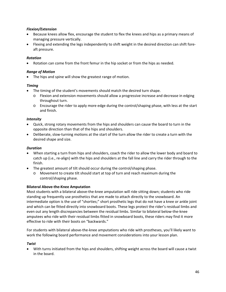# *Flexion/Extension*

- Because knees allow flex, encourage the student to flex the knees and hips as a primary means of managing pressure vertically.
- Flexing and extending the legs independently to shift weight in the desired direction can shift fore‐ aft pressure.

# *Rotation*

Rotation can come from the front femur in the hip socket or from the hips as needed.

# *Range of Motion*

• The hips and spine will show the greatest range of motion.

### *Timing*

- The timing of the student's movements should match the desired turn shape.
	- o Flexion and extension movements should allow a progressive increase and decrease in edging throughout turn.
	- o Encourage the rider to apply more edge during the control/shaping phase, with less at the start and finish.

### *Intensity*

- Quick, strong rotary movements from the hips and shoulders can cause the board to turn in the opposite direction than that of the hips and shoulders.
- Deliberate, slow-turning motions at the start of the turn allow the rider to create a turn with the desired shape and size.

# *Duration*

- When starting a turn from hips and shoulders, coach the rider to allow the lower body and board to catch up (i.e., re-align) with the hips and shoulders at the fall line and carry the rider through to the finish.
- The greatest amount of tilt should occur during the control/shaping phase.
	- o Movement to create tilt should start at top of turn and reach maximum during the control/shaping phase.

### **Bilateral Above‐the‐Knee Amputation**

Most students with a bilateral above‐the‐knee amputation will ride sitting down; students who ride standing up frequently use prosthetics that are made to attach directly to the snowboard. An intermediate option is the use of "shorties;" short prosthetic legs that do not have a knee or ankle joint and which can be fitted directly into snowboard boots. These legs protect the rider's residual limbs and even out any length discrepancies between the residual limbs. Similar to bilateral below‐the‐knee amputees who ride with their residual limbs fitted in snowboard boots, these riders may find it more effective to ride with their boots on "backwards."

For students with bilateral above-the-knee amputations who ride with prostheses, you'll likely want to work the following board performance and movement considerations into your lesson plan.

### *Twist*

• With turns initiated from the hips and shoulders, shifting weight across the board will cause a twist in the board.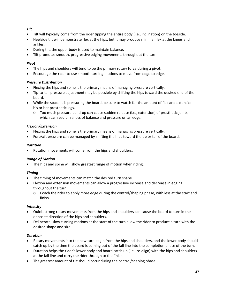# *Tilt*

- Tilt will typically come from the rider tipping the entire body (i.e., inclination) on the toeside.
- Heelside tilt will demonstrate flex at the hips, but it may produce minimal flex at the knees and ankles.
- During tilt, the upper body is used to maintain balance.
- Tilt promotes smooth, progressive edging movements throughout the turn.

### *Pivot*

- The hips and shoulders will tend to be the primary rotary force during a pivot.
- Encourage the rider to use smooth turning motions to move from edge to edge.

# *Pressure Distribution*

- Flexing the hips and spine is the primary means of managing pressure vertically.
- Tip-to-tail pressure adjustment may be possible by shifting the hips toward the desired end of the board.
- While the student is pressuring the board, be sure to watch for the amount of flex and extension in his or her prosthetic legs.
	- o Too much pressure build‐up can cause sudden release (i.e., extension) of prosthetic joints, which can result in a loss of balance and pressure on an edge.

# *Flexion/Extension*

- Flexing the hips and spine is the primary means of managing pressure vertically.
- Fore/aft pressure can be managed by shifting the hips toward the tip or tail of the board.

# *Rotation*

• Rotation movements will come from the hips and shoulders.

### *Range of Motion*

• The hips and spine will show greatest range of motion when riding.

# *Timing*

- The timing of movements can match the desired turn shape.
- Flexion and extension movements can allow a progressive increase and decrease in edging throughout the turn.
	- o Coach the rider to apply more edge during the control/shaping phase, with less at the start and finish.

# *Intensity*

- Quick, strong rotary movements from the hips and shoulders can cause the board to turn in the opposite direction of the hips and shoulders.
- Deliberate, slow-turning motions at the start of the turn allow the rider to produce a turn with the desired shape and size.

# *Duration*

- Rotary movements into the new turn begin from the hips and shoulders, and the lower body should catch up by the time the board is coming out of the fall line into the completion phase of the turn.
- Duration helps the rider's lower body and board catch up (i.e., re-align) with the hips and shoulders at the fall line and carry the rider through to the finish.
- The greatest amount of tilt should occur during the control/shaping phase.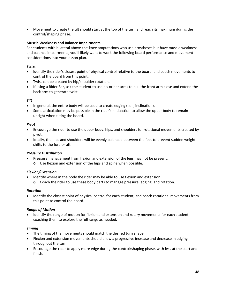• Movement to create the tilt should start at the top of the turn and reach its maximum during the control/shaping phase.

# **Muscle Weakness and Balance Impairments**

For students with bilateral above-the-knee amputations who use prostheses but have muscle weakness and balance impairments, you'll likely want to work the following board performance and movement considerations into your lesson plan.

# *Twist*

- Identify the rider's closest point of physical control relative to the board, and coach movements to control the board from this point.
- Twist can be created by hip/shoulder rotation.
- If using a Rider Bar, ask the student to use his or her arms to pull the front arm close and extend the back arm to generate twist.

# *Tilt*

- In general, the entire body will be used to create edging (i.e. , inclination).
- Some articulation may be possible in the rider's midsection to allow the upper body to remain upright when tilting the board.

### *Pivot*

- Encourage the rider to use the upper body, hips, and shoulders for rotational movements created by pivot.
- Ideally, the hips and shoulders will be evenly balanced between the feet to prevent sudden weight shifts to the fore or aft.

### *Pressure Distribution*

- Pressure management from flexion and extension of the legs may not be present.
	- o Use flexion and extension of the hips and spine when possible.

### *Flexion/Extension*

- Identify where in the body the rider may be able to use flexion and extension.
	- o Coach the rider to use these body parts to manage pressure, edging, and rotation.

### *Rotation*

• Identify the closest point of physical control for each student, and coach rotational movements from this point to control the board.

### *Range of Motion*

• Identify the range of motion for flexion and extension and rotary movements for each student, coaching them to explore the full range as needed.

### *Timing*

- The timing of the movements should match the desired turn shape.
- Flexion and extension movements should allow a progressive increase and decrease in edging throughout the turn.
- Encourage the rider to apply more edge during the control/shaping phase, with less at the start and finish.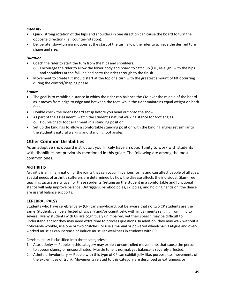# *Intensity*

- Quick, strong rotation of the hips and shoulders in one direction can cause the board to turn the opposite direction (i.e., counter‐rotation).
- Deliberate, slow-turning motions at the start of the turn allow the rider to achieve the desired turn shape and size.

# *Duration*

- Coach the rider to start the turn from the hips and shoulders.
	- $\circ$  Encourage the rider to allow the lower body and board to catch up (i.e., re-align) with the hips and shoulders at the fall line and carry the rider through to the finish.
- Movement to create tilt should start at the top of a turn with the greatest amount of tilt occurring during the control/shaping phase.

### *Stance*

- The goal is to establish a stance in which the rider can balance the CM over the middle of the board as it moves from edge to edge and between the feet, while the rider maintains equal weight on both feet.
- Double check the rider's board setup before you head out onto the snow.
- As part of the assessment, watch the student's natural walking stance for foot angles. o Double check foot alignment in a standing position.
- Set up the bindings to allow a comfortable standing position with the binding angles set similar to the student's natural walking and standing foot angles

# **Other Common Disabilities**

As an adaptive snowboard instructor, you'll likely have an opportunity to work with students with disabilities not previously mentioned in this guide. The following are among the most common ones.

# **ARTHRITIS**

Arthritis is an inflammation of the joints that can occur in various forms and can affect people of all ages. Special needs of arthritis sufferers are determined by how the disease affects the individual. Slam‐free teaching tactics are critical for these students. Setting up the student in a comfortable and functional stance will help improve balance. Outriggers, bamboo poles, ski poles, and holding hands or "the dance" are useful balance supports.

### **CEREBRAL PALSY**

Students who have cerebral palsy (CP) can snowboard, but be aware that no two CP students are the same. Students can be affected physically and/or cognitively, with impairments ranging from mild to severe. Many students with CP are cognitively unimpaired, yet their speech may be difficult to understand and/or they may need extra time to process questions. In addition, they may walk without a noticeable wobble, use one or two crutches, or use a manual or powered wheelchair. Fatigue and over‐ worked muscles can increase or induce muscular weakness in students with CP.

Cerebral palsy is classified into three categories:

- 1. Ataxic‐Jerky People in this category may exhibit uncontrolled movements that cause the person to appear clumsy or uncoordinated. Muscle tone is normal, yet balance is severely affected.
- 2. Athetoid-Involuntary People with this type of CP can exhibit jelly-like, purposeless movements of the extremities or trunk. Movements related to this category are described as extraneous or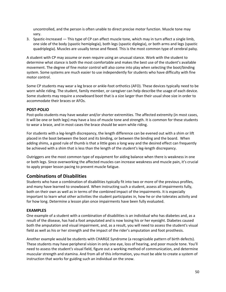uncontrolled, and the person is often unable to direct precise motor function. Muscle tone may vary.

3. Spastic‐Increased — This type of CP can affect muscle tone, which may in turn affect a single limb, one side of the body (spastic hemiplegia), both legs (spastic diplegia), or both arms and legs (spastic quadriplegia). Muscles are usually tense and flexed. This is the most common type of cerebral palsy.

A student with CP may assume or even require using an unusual stance. Work with the student to determine what stance is both the most comfortable and makes the best use of the student's available movement. The degree of fine motor control will also come into play when selecting the boot/binding system. Some systems are much easier to use independently for students who have difficulty with fine motor control.

Some CP students may wear a leg brace or ankle‐foot orthotics (AFO). These devices typically need to be worn while riding. The student, family member, or caregiver can help describe the usage of each device. Some students may require a snowboard boot that is a size larger than their usual shoe size in order to accommodate their braces or AFOs.

# **POST‐POLIO**

Post-polio students may have weaker and/or shorter extremities. The affected extremity (in most cases, it will be one or both legs) may have a loss of muscle tone and strength. It is common for these students to wear a brace, and in most cases the brace should be worn while riding.

For students with a leg-length discrepancy, the length difference can be evened out with a shim or lift placed in the boot between the boot and its binding, or between the binding and the board. When adding shims, a good rule of thumb is that a little goes a long way and the desired effect can frequently be achieved with a shim that is less than the length of the student's leg-length discrepancy.

Outriggers are the most common type of equipment for aiding balance when there is weakness in one or both legs. Since overworking the affected muscles can increase weakness and muscle pain, it's crucial to apply proper lesson pacing to prevent muscle fatigue.

# **Combinations of Disabilities**

Students who have a combination of disabilities typically fit into two or more of the previous profiles, and many have learned to snowboard. When instructing such a student, assess all impairments fully, both on their own as well as in terms of the combined impact of the impairments. It is especially important to learn what other activities the student participates in, how he or she tolerates activity and for how long. Determine a lesson plan once impairments have been fully evaluated.

# **EXAMPLES**

One example of a student with a combination of disabilities is an individual who has diabetes and, as a result of the disease, has had a foot amputated and is now losing his or her eyesight. Diabetes caused both the amputation and visual impairment, and, as a result, you will need to assess the student's visual field as well as his or her strength and the impact of the rider's amputation and foot prosthesis.

Another example would be students with CHARGE Syndrome (a recognizable pattern of birth defects). These students may have peripheral vision in only one eye, loss of hearing, and poor muscle tone. You'll need to assess the student's visual field, figure out a working method of communication, and determine muscular strength and stamina. And from all of this information, you must be able to create a system of instruction that works for guiding such an individual on the snow.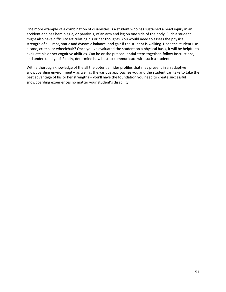One more example of a combination of disabilities is a student who has sustained a head injury in an accident and has hemiplegia, or paralysis, of an arm and leg on one side of the body. Such a student might also have difficulty articulating his or her thoughts. You would need to assess the physical strength of all limbs, static and dynamic balance, and gait if the student is walking. Does the student use a cane, crutch, or wheelchair? Once you've evaluated the student on a physical basis, it will be helpful to evaluate his or her cognitive abilities. Can he or she put sequential steps together, follow instructions, and understand you? Finally, determine how best to communicate with such a student.

With a thorough knowledge of the all the potential rider profiles that may present in an adaptive snowboarding environment – as well as the various approaches you and the student can take to take the best advantage of his or her strengths – you'll have the foundation you need to create successful snowboarding experiences no matter your student's disability.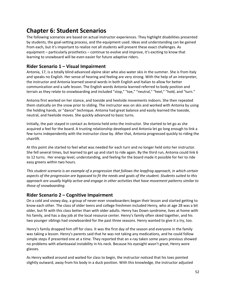# **Chapter 6: Student Scenarios**

The following scenarios are based on actual instructor experiences. They highlight disabilities presented by students, the goal‐setting process, and the equipment used. Ideas and understanding can be gained from each, but it's important to realize not all students will present these exact challenges. As equipment – particularly prosthetics – continue to evolve and improve, it's exciting to know that learning to snowboard will be even easier for future adaptive riders.

# **Rider Scenario 1 – Visual Impairment**

Antonia, 17, is a totally blind advanced alpine skier who also water skis in the summer. She is from Italy and speaks no English. Her sense of hearing and feeling are very strong. With the help of an interpreter, the instructor and Antonia learned several words in both English and Italian to allow for better communication and a safe lesson. The English words Antonia learned referred to body position and terrain as they relate to snowboarding and included "stop," "toe," "neutral," "heel," "hold, and "turn."

Antonia first worked on her stance, and toeside and heelside movements indoors. She then repeated them statically on the snow prior to sliding. The instructor was on skis and worked with Antonia by using the holding hands, or "dance" technique. Antonia had great balance and easily learned the toeside, neutral, and heelside moves. She quickly advanced to basic turns.

Initially, the pair stayed in contact as Antonia held onto the instructor. She started to let go as she acquired a feel for the board. A trusting relationship developed and Antonia let go long enough to link a few turns independently with the instructor close by. After that, Antonia progressed quickly to riding the chairlift.

At this point she started to feel what was needed for each turn and no longer held onto her instructor. She fell several times, but learned to get up and start to ride again. By the third run, Antonia could link 6 to 12 turns. Her energy level, understanding, and feeling for the board made it possible for her to ride easy greens within two hours.

*This student scenario is an example of a progression that follows the leapfrog approach, in which certain* aspects of the progression are bypassed to fit the needs and goals of the student. Students suited to this *approach are usually highly active and engage in other activities that have movement patterns similar to those of snowboarding.*

# **Rider Scenario 2 – Cognitive Impairment**

On a cold and snowy day, a group of never‐ever snowboarders began their lesson and started getting to know each other. The class of older teens and college freshmen included Henry, who at age 28 was a bit older, but fit with this class better than with older adults. Henry has Down syndrome, lives at home with his family, and has a day job at the local resource center. Henry's family often skied together, and his two younger siblings had snowboarded for the past three seasons. Henry wanted to give it a try, too.

Henry's family dropped him off for class. It was the first day of the season and everyone in the family was taking a lesson. Henry's parents said that he was not taking any medications, and he could follow simple steps if presented one at a time. They reported that an x-ray taken some years previous showed no problems with atlantoaxial instability in his neck. Because his eyesight wasn't great, Henry wore glasses.

As Henry walked around and waited for class to begin, the instructor noticed that his toes pointed slightly outward, away from his body in a duck position. With this knowledge, the instructor adjusted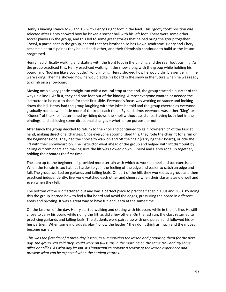Henry's binding stance to ‐6 and +6, with Henry's right foot in the lead. This "goofy foot" position was selected after Henry showed how he kicked a soccer ball with his left foot. There were some other soccer players in the group, and this led to some great stories that helped bring the group together. Cheryl, a participant in the group, shared that her brother also has Down syndrome. Henry and Cheryl became a natural pair as they helped each other, and their friendship continued to build as the lesson progressed.

Henry had difficulty walking and skating with the front foot in the binding and the rear foot pushing. As the group practiced this, Henry practiced walking in the snow along with the group while holding his board, and "looking like a cool dude." For climbing, Henry showed how he would climb a gentle hill if he were skiing. Then he showed how he would edge his board in the snow in the future when he was ready to climb on a snowboard.

Moving onto a very gentle straight run with a natural stop at the end, the group started a quarter of the way up a knoll. At first, they had one foot out of the binding. Almost everyone wanted or needed the instructor to be next to them for their first slide. Everyone's focus was working on stance and looking down the hill. Henry had the group laughing with the jokes he told and the group cheered as everyone gradually rode down a little more of the knoll each time. By lunchtime, everyone was either "King" or "Queen" of the knoll, determined by riding down the knoll without assistance, having both feet in the bindings, and achieving some directional changes – whether on purpose or not.

After lunch the group decided to return to the knoll and continued to gain "ownership" of the task at hand, making directional changes. Once everyone accomplished this, they rode the chairlift for a run on the beginner slope. They had the choice to walk on and off the chair (carrying their board), or ride the lift with their snowboard on. The instructor went ahead of the group and helped with lift dismount by calling out reminders and making sure the lift was slowed down. Cheryl and Henry rode up together, holding their boards the first time.

The step up to the beginner hill provided more terrain with which to work on heel and toe exercises. When the terrain is too flat, it's harder to gain the feeling of the edge and easier to catch an edge and fall. The group worked on garlands and falling leafs. On part of the hill, they worked as a group and then practiced independently. Everyone watched each other and cheered when their classmates did well and even when they fell.

The bottom of the run flattened out and was a perfect place to practice flat spin 180s and 360s. By doing this the group learned how to feel a flat board and avoid the edges, pressuring the board in different areas and pivoting. It was a great way to have fun and learn at the same time.

On the last run of the day, Henry started walking and skating with his board while in the lift line. He still chose to carry his board while riding the lift, as did a few others. On the last run, the class returned to practicing garlands and falling leafs. The students were paired up with one person and followed his or her partner. When some individuals play "follow the leader," they don't think as much and the moves become easier.

This was the first day of a three-day lesson. In summarizing the lesson and preparing them for the next day, the group was told they would work on full turns in the morning on the same trail and try some ollies or nollies. As with any lesson, it's important to provide a review of the lesson experience and *preview what can be expected when the student returns.*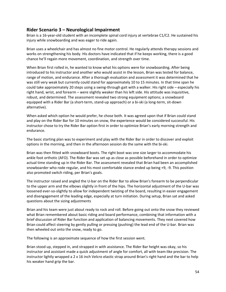# **Rider Scenario 3 – Neurological Impairment**

Brian is a 16‐year‐old student with an incomplete spinal cord injury at vertebrae C1/C2. He sustained his injury while snowboarding and was eager to ride again.

Brian uses a wheelchair and has almost no fine motor control. He regularly attends therapy sessions and works on strengthening his body. His doctors have indicated that if he keeps working, there is a good chance he'll regain more movement, coordination, and strength over time.

When Brian first rolled in, he wanted to know what his options were for snowboarding. After being introduced to his instructor and another who would assist in the lesson, Brian was tested for balance, range of motion, and endurance. After a thorough evaluation and assessment it was determined that he was still very weak but currently could stand for approximately 10 to 15 minutes. In that time span he could take approximately 20 steps using a swing‐through gait with a walker. His right side – especially his right hand, wrist, and forearm – were slightly weaker than his left side. His attitude was inquisitive, robust, and determined. The assessment revealed two strong equipment options; a snowboard equipped with a Rider Bar (a short‐term, stand‐up approach) or a bi‐ski (a long‐term, sit‐down alternative).

When asked which option he would prefer, he chose both. It was agreed upon that if Brian could stand and play on the Rider Bar for 10 minutes on snow, the experience would be considered successful. His instructor chose to try the Rider Bar option first in order to optimize Brian's early morning strength and endurance.

The basic starting plan was to experiment and play with the Rider Bar in order to discover and exploit options in the morning, and then in the afternoon session do the same with the bi‐ski.

Brian was then fitted with snowboard boots. The right boot was one size larger to accommodate his ankle foot orthotic (AFO). The Rider Bar was set up as close as possible beforehand in order to optimize actual time standing up in the Rider Bar. The assessment revealed that Brian had been an accomplished snowboarder who rode regular, and his most comfortable stance ended up being +9, ‐9. This position also promoted switch riding, per Brian's goals.

The instructor raised and angled the U‐bar on the Rider Bar to allow Brian's forearm to be perpendicular to the upper arm and the elbows slightly in front of the hips. The horizontal adjustment of the U‐bar was loosened ever-so-slightly to allow for independent twisting of the board, resulting in easier engagement and disengagement of the leading edge, especially at turn initiation. During setup, Brian sat and asked questions about the sizing adjustments

Brian and his team were just about ready to rock and roll. Before going out onto the snow they reviewed what Brian remembered about basic riding and board performance, combining that information with a brief discussion of Rider Bar function and application of balancing movements. They next covered how Brian could affect steering by gently pulling or pressing (pushing) the lead end of the U‐bar. Brian was then wheeled out onto the snow, ready to go.

The following is an approximate sequence of how the first session went.

Brian stood up, stepped in, and strapped in with assistance. The Rider Bar height was okay, so his instructor and assistant made a quick adjustment of angle for comfort, all with team‐like precision. The instructor lightly wrapped a 2 x 16 inch Velcro elastic strap around Brian's right hand and the bar to help his weaker hand grip the bar.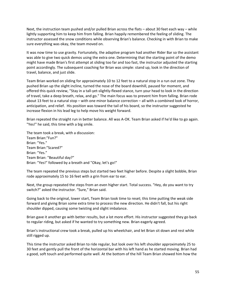Next, the instruction team pushed and/or pulled Brian across the flats – about 30 feet each way – while lightly supporting him to keep him from falling. Brian happily remembered the feeling of sliding. The instructor assessed the snow conditions while observing Brian's balance. Checking in with Brian to make sure everything was okay, the team moved on.

It was now time to use gravity. Fortunately, the adaptive program had another Rider Bar so the assistant was able to give two quick demos using the extra one. Determining that the starting point of the demo might have made Brian's first attempt at sliding too far and too fast, the instructor adjusted the starting point accordingly. The subsequent coaching for Brian was simple: stand up, look in the direction of travel, balance, and just slide.

Team Brian worked on sliding for approximately 10 to 12 feet to a natural stop in a run out zone. They pushed Brian up the slight incline, turned the nose of the board downhill, paused for moment, and offered this quick review, "Stay in a tall‐yet‐slightly‐flexed stance, turn your head to look in the direction of travel, take a deep breath, relax, and go." The main focus was to prevent him from falling. Brian rode about 13 feet to a natural stop – with one minor balance correction – all with a combined look of horror, anticipation, and relief. His position was toward the tail of his board, so the instructor suggested he increase flexion in his lead leg to help move his weight forward.

Brian repeated the straight run in better balance. All was A‐OK. Team Brian asked if he'd like to go again. "Yes!" he said, this time with a big smile.

The team took a break, with a discussion: Team Brian:"Fun?" Brian: "Yes." Team Brian:"Scared?" Brian: "Yes." Team Brian: "Beautiful day?" Brian: "Yes!" followed by a breath and "Okay, let's go!"

The team repeated the previous steps but started two feet higher before. Despite a slight bobble, Brian rode approximately 15 to 16 feet with a grin from ear to ear.

Next, the group repeated the steps from an even higher start. Total success. "Hey, do you want to try switch?" asked the instructor. "Sure," Brian said.

Going back to the original, lower start, Team Brian took time to reset; this time putting the weak side forward and giving Brian some extra time to process the new direction. He didn't fall, but his right shoulder dipped, causing some twisting and slight imbalance.

Brian gave it another go with better results, but a lot more effort. His instructor suggested they go back to regular riding, but asked if he wanted to try something new. Brian eagerly agreed.

Brian's instructional crew took a break, pulled up his wheelchair, and let Brian sit down and rest while still rigged up.

This time the instructor asked Brian to ride regular, but look over his left shoulder approximately 25 to 30 feet and gently pull the front of the horizontal bar with his left hand as he started moving. Brian had a good, soft touch and performed quite well. At the bottom of the hill Team Brian showed him how the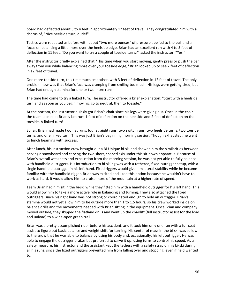board had deflected about 3 to 4 feet in approximately 12 feet of travel. They congratulated him with a chorus of, "Nice heelside turn, dude!"

Tactics were repeated as before with about "two more ounces" of pressure applied to the pull and a focus on balancing a little more over the heelside edge. Brian had an excellent run with 4 to 5 feet of deflection in 11 feet. "Do you want to try a couple of toeside turns?" asked the instructor. "Yes."

After the instructor briefly explained that "This time when you start moving, gently press or push the bar away from you while balancing more over your toeside edge," Brian looked up to see 2 feet of deflection in 12 feet of travel.

One more toeside turn, this time much smoother, with 3 feet of deflection in 12 feet of travel. The only problem now was that Brian's face was cramping from smiling too much. His legs were getting tired, but Brian had enough stamina for one or two more runs.

The time had come to try a linked turn. The instructor offered a brief explanation: "Start with a heelside turn and as soon as you begin moving, go to neutral, then to toeside."

At the bottom, the instructor quickly got Brian's chair since his legs were giving out. Once in the chair the team looked at Brian's last run: 1 foot of deflection on the heelside and 2 feet of deflection on the toeside. A linked turn!

So far, Brian had made two flat runs, four straight runs, two switch runs, two heelside turns, two toeside turns, and one linked turn. This was just Brian's beginning morning session. Though exhausted; he went to lunch beaming with success.

After lunch, his instruction crew brought out a Bi-Unique bi-ski and showed him the similarities between carving a snowboard and carving the two short, shaped skis under this sit‐down apparatus. Because of Brian's overall weakness and exhaustion from the morning session, he was not yet able to fully balance with handheld outriggers. His introduction to bi-skiing was with a tethered, fixed-outrigger setup, with a single handheld outrigger in his left hand. Fixed riggers would give him lateral stability while he became familiar with the handheld rigger. Brian was excited and liked this option because he wouldn't have to work as hard. It would allow him to cruise more of the mountain at a higher rate of speed.

Team Brian had him sit in the bi‐ski while they fitted him with a handheld outrigger for his left hand. This would allow him to take a more active role in balancing and turning. They also attached the fixed outriggers, since his right hand was not strong or coordinated enough to hold an outrigger. Brian's stamina would not yet allow him to be outside more than 1 to 1.5 hours, so his crew worked inside on balance drills and the movements needed with Brian sitting in the equipment. Once Brian and company moved outside, they skipped the flatland drills and went up the chairlift (full instructor assist for the load and unload) to a wide‐open green trail.

Brian was a pretty accomplished rider before his accident, and it took him only one run with a full seat assist to figure out basic balance and weight shift for turning. His center of mass in the bi‐ski was so low to the snow that he was able to balance by using his body and, occasionally, his left outrigger. He was able to engage the outrigger brakes but preferred to carve it up, using turns to control his speed. As a safety measure, his instructor and the assistant kept the tethers with a safety strap on his bi-ski during all his runs, since the fixed outriggers prevented him from falling over and stopping, even if he'd wanted to.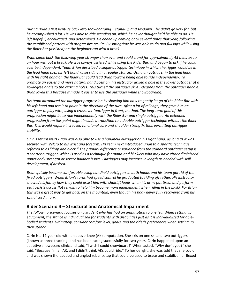During Brian's first venture back into snowboarding – stand-up and sit-down – he didn't go very far, but he accomplished a lot. He was able to ride standing up, which he never thought he'd be able to do. He *left hopeful, encouraged, and determined. He ended up coming back several times that year, following* the established pattern with progressive results. By springtime he was able to do two full laps while using *the Rider Bar (assisted) on the beginner run with a break.*

*Brian came back the following year stronger than ever and could stand for approximately 45 minutes to* an hour without a break. He was always assisted while using the Rider Bar, and began to ask if he could ever be independent. Team Brian described a single-outrigger technique in which the rigger would be in the lead hand (i.e., his left hand while riding in a regular stance). Using an outrigger in the lead hand *with his right hand on the Rider Bar could lead Brian toward being able to ride independently. To* promote an easier and more natural hand position, his instructor drilled a hole in the lower outrigger at a 45-degree angle to the existing holes. This turned the outrigger ski 45-degrees from the outrigger handle. *Brian loved this because it made it easier to use the outrigger while snowboarding.*

His team introduced the outrigger progression by showing him how to gently let go of the Rider Bar with his left hand and use it to point in the direction of the turn. After a lot of mileage, they gave him an *outrigger to play with, using a crossover (outrigger in front) method. The long‐term goal of this progression might be to ride independently with the Rider Bar and single outrigger. An extended progression from this point might include a transition to a double outrigger technique without the Rider Bar. This would require increased functional core and shoulder strength, thus permitting outrigger stability.*

On his return visits Brian was also able to use a handheld outrigger on his right hand, as long as it was *secured with Velcro to his wrist and forearm. His team next introduced Brian to a specific technique referred to as "drop and block." The primary difference or variance from the standard outrigger setup is* a shorter outrigger, which is used as a technique for mono-and bi-skiers who may have either diminished *upper body strength or severe balance issues. Outriggers may increase in length as needed with skill development, if desired.*

*Brian quickly became comfortable using handheld outriggers in both hands and his team got rid of the fixed outriggers. When Brian's turns had speed control he graduated to riding off tether. His instructor* showed his family how they could assist him with chairlift loads when his arms got tired, and perform seat assists across flat terrain to help him become more independent when riding in the bi-ski. For Brian, this was a great way to get back on the mountain, even though his body never fully recovered from his *spinal cord injury.*

# **Rider Scenario 4 – Structural and Anatomical Impairment**

*The following scenario focuses on a student who has had an amputation to one leg. When setting up* equipment, the stance is individualized for students with disabilities just as it is individualized for able*bodied students. Ultimately, consider comfort level, goals, and the rider's preferences when setting up their stance.*

Carin is a 19‐year‐old with an above‐knee (AK) amputation. She skis on one ski and two outriggers (known as three tracking) and has been racing successfully for two years. Carin happened upon an adaptive snowboard clinic and said, "I wish I could snowboard!" When asked, "Why don't you?" she said, "Because I'm an AK, and I didn't think AKs could ride." To her delight, she was told that she could and was shown the padded and angled rebar setup that could be used to brace and stabilize her flexed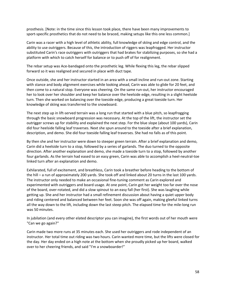prosthesis. [Note: in the time since this lesson took place, there have been many improvements to sport-specific prosthetics that do not need to be braced, making setups like this one less common.]

Carin was a racer with a high level of athletic ability, full knowledge of skiing and edge control, and the ability to use outriggers. Because of this, the introduction of riggers was leapfrogged. Her instructor substituted Carin's race outriggers with outriggers that had brakes for stabilizing purposes, so she had a platform with which to catch herself for balance or to push off of for realignment.

The rebar setup was Ace‐bandaged onto the prosthetic leg. While flexing this leg, the rebar slipped forward so it was realigned and secured in place with duct tape.

Once outside, she and her instructor started in an area with a small incline and run‐out zone. Starting with stance and body alignment exercises while looking ahead, Carin was able to glide for 20 feet, and then come to a natural stop. Everyone was cheering. On the same run‐out, her instructor encouraged her to look over her shoulder and keep her balance over the heelside edge, resulting in a slight heelside turn. Then she worked on balancing over the toeside edge, producing a great toeside turn. Her knowledge of skiing was transferred to the snowboard.

The next step up in lift-served terrain was a long run that started with a blue pitch, so leapfrogging through the basic snowboard progression was necessary. At the top of the lift, the instructor set the outrigger screws up for stability and explained the next step. For the blue slope (about 100 yards), Carin did four heelside falling leaf traverses. Next she spun around to the toeside after a brief explanation, description, and demo. She did four toeside falling leaf traverses. She had no falls as of this point.

By then she and her instructor were down to steeper green terrain. After a brief explanation and demo, Carin did a heelside turn to a stop, followed by a series of garlands. The duo turned to the opposite direction. After another explanation and demo, she made a toeside turn to a stop, followed by another four garlands. As the terrain had eased to an easy green, Carin was able to accomplish a heel‐neutral‐toe linked turn after an explanation and demo.

Exhilarated, full of excitement, and breathless, Carin took a breather before heading to the bottom of the hill – a run of approximately 200 yards. She took off and linked about 20 turns in the last 100 yards. The instructor only needed to make an occasional fine‐tuning comment as Carin explored and experimented with outriggers and board usage. At one point, Carin got her weight too far over the nose of the board, over‐rotated, and did a slow spinout to an easy fall (her first). She was laughing while getting up. She and her instructor had a small refinement discussion about having a quiet upper body and riding centered and balanced between her feet. Soon she was off again, making gleeful linked turns all the way down to the lift, including down the last steep pitch. The elapsed time for the mile‐long run was 50 minutes.

In jubilation (and every other elated descriptor you can imagine), the first words out of her mouth were "Can we go again?''

Carin made two more runs at 35 minutes each. She used her outriggers and rode independent of an instructor. Her total time out riding was two hours. Carin wanted more time, but the lifts were closed for the day. Her day ended on a high note at the bottom when she proudly picked up her board, walked over to her cheering friends, and said "I'm a snowboarder!"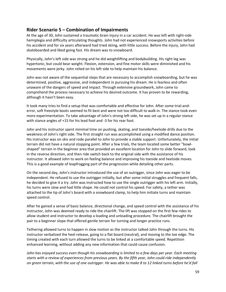# **Rider Scenario 5 – Combination of Impairments**

At the age of 30, John sustained a traumatic brain injury in a car accident. He was left with right‐side hemiplegia and difficulty articulating thoughts. John had not experienced snowsports activities before his accident and for six years afterward had tried skiing, with little success. Before the injury, John had skateboarded and liked going fast. His dream was to snowboard.

Physically, John's left side was strong and he did weightlifting and bodybuilding. His right leg was hypertonic, but could bear weight. Flexion, extension, and fine motor skills were diminished and his movements were jerky. John relied on his left side to help maintain his balance.

John was not aware of the sequential steps that are necessary to accomplish snowboarding, but he was determined, positive, aggressive, and independent in pursuing his dream. He is fearless and often unaware of the dangers of speed and impact. Through extensive groundwork, John came to comprehend the process necessary to achieve his desired outcome. It has proven to be rewarding, although it hasn't been easy.

It took many tries to find a setup that was comfortable and effective for John. After some trial‐and‐ error, soft freestyle boots seemed to fit best and were not too difficult to walk in. The stance took even more experimentation. To take advantage of John's strong left side, he was set up in a regular stance with stance angles of +15 for his lead foot and -3 for his rear foot.

John and his instructor spent minimal time on pushing, skating, and toeside/heelside drills due to the weakness of John's right side. The first straight run was accomplished using a modified dance position. His instructor was on skis and rode parallel to John to provide a stable support. Unfortunately, the initial terrain did not have a natural stopping point. After a few trials, the team located some better "bowl‐ shaped" terrain in the beginner area that provided an excellent location for John to slide forward, look in the reverse direction, and then ride switch back to the original side with the assistance of his instructor. It allowed John to work on feeling balance and improving his toeside and heelside moves. This is a good example of leapfrogging part of the progression while detailing other parts.

On the second day, John's instructor introduced the use of an outrigger, since John was eager to be independent. He refused to use the outrigger initially, but after some initial struggles and frequent falls, he decided to give it a try. John was instructed how to use the single outrigger with his left arm. Initially, his turns were slow and had little shape. He could not control his speed. For safety, a tether was attached to the tip of John's board with a snowboard clamp, to help him initiate turns and maintain speed control.

After he gained a sense of basic balance, directional change, and speed control with the assistance of his instructor, John was deemed ready to ride the chairlift. The lift was stopped on the first few rides to allow student and instructor to develop a loading and unloading procedure. The chairlift brought the pair to a beginner slope that offered gentle terrain for turning and longer practice runs.

Tethering allowed turns to happen in slow motion as the instructor talked John through the turns. His instructor verbalized the heel release, going to a flat board (neutral), and moving to the toe edge. The timing created with each turn allowed the turns to be linked at a comfortable speed. Repetition enhanced learning, without adding any new information that could cause confusion.

John has enjoyed success even though his snowboarding is limited to a few days per year. Each meeting *starts with a review of experiences from previous years. By the fifth year, John could ride independently* on green terrain, with the use of one outrigger. He was able to make 8 to 12 linked turns before he'd fall